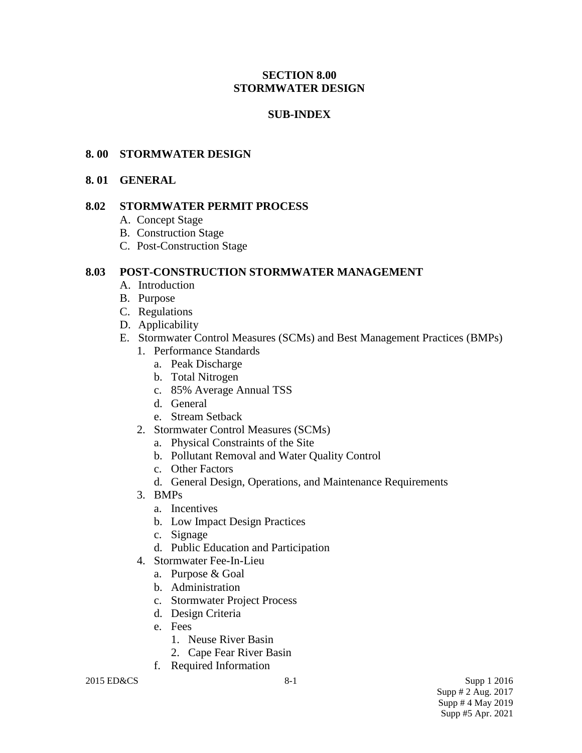# **SECTION 8.00 STORMWATER DESIGN**

# **SUB-INDEX**

## **8. 00 STORMWATER DESIGN**

#### **8. 01 GENERAL**

## **8.02 STORMWATER PERMIT PROCESS**

- A. Concept Stage
- B. Construction Stage
- C. Post-Construction Stage

#### **8.03 POST-CONSTRUCTION STORMWATER MANAGEMENT**

- A. Introduction
- B. Purpose
- C. Regulations
- D. Applicability
- E. Stormwater Control Measures (SCMs) and Best Management Practices (BMPs)
	- 1. Performance Standards
		- a. Peak Discharge
		- b. Total Nitrogen
		- c. 85% Average Annual TSS
		- d. General
		- e. Stream Setback
	- 2. Stormwater Control Measures (SCMs)
		- a. Physical Constraints of the Site
		- b. Pollutant Removal and Water Quality Control
		- c. Other Factors
		- d. General Design, Operations, and Maintenance Requirements
	- 3. BMPs
		- a. Incentives
		- b. Low Impact Design Practices
		- c. Signage
		- d. Public Education and Participation
	- 4. Stormwater Fee-In-Lieu
		- a. Purpose & Goal
		- b. Administration
		- c. Stormwater Project Process
		- d. Design Criteria
		- e. Fees
			- 1. Neuse River Basin
			- 2. Cape Fear River Basin
		- f. Required Information

 $2015$  ED&CS Supp 1 2016 Supp # 2 Aug. 2017 Supp # 4 May 2019 Supp #5 Apr. 2021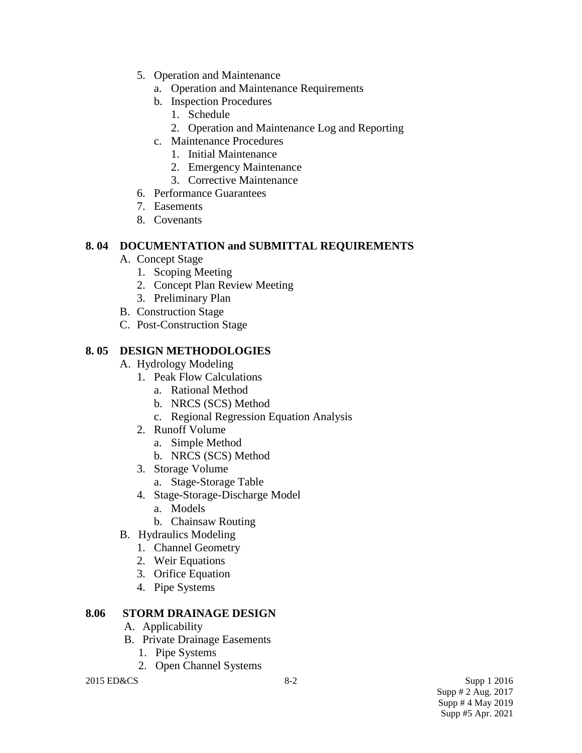- 5. Operation and Maintenance
	- a. Operation and Maintenance Requirements
	- b. Inspection Procedures
		- 1. Schedule
		- 2. Operation and Maintenance Log and Reporting
	- c. Maintenance Procedures
		- 1. Initial Maintenance
		- 2. Emergency Maintenance
		- 3. Corrective Maintenance
- 6. Performance Guarantees
- 7. Easements
- 8. Covenants

# **8. 04 DOCUMENTATION and SUBMITTAL REQUIREMENTS**

- A. Concept Stage
	- 1. Scoping Meeting
	- 2. Concept Plan Review Meeting
	- 3. Preliminary Plan
- B. Construction Stage
- C. Post-Construction Stage

# **8. 05 DESIGN METHODOLOGIES**

- A. Hydrology Modeling
	- 1. Peak Flow Calculations
		- a. Rational Method
		- b. NRCS (SCS) Method
		- c. Regional Regression Equation Analysis
	- 2. Runoff Volume
		- a. Simple Method
		- b. NRCS (SCS) Method
	- 3. Storage Volume
		- a. Stage-Storage Table
	- 4. Stage-Storage-Discharge Model
		- a. Models
		- b. Chainsaw Routing
- B. Hydraulics Modeling
	- 1. Channel Geometry
	- 2. Weir Equations
	- 3. Orifice Equation
	- 4. Pipe Systems

# **8.06 STORM DRAINAGE DESIGN**

- A. Applicability
- B. Private Drainage Easements
	- 1. Pipe Systems
	- 2. Open Channel Systems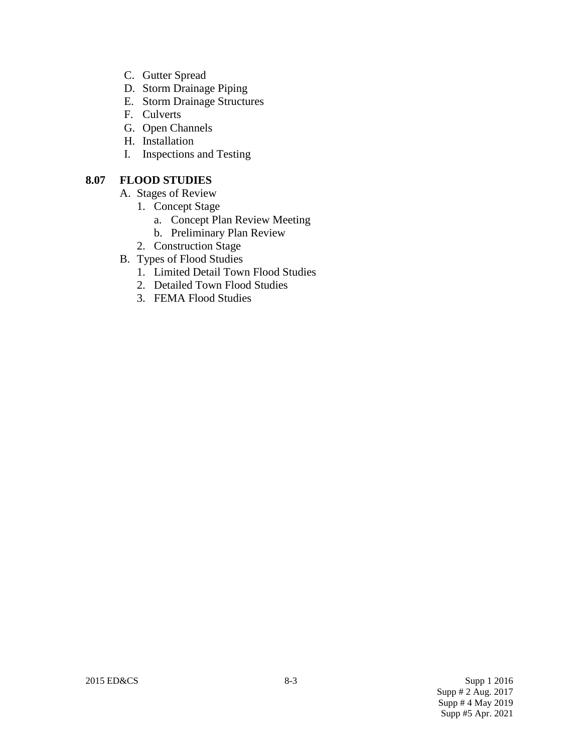- C. Gutter Spread
- D. Storm Drainage Piping
- E. Storm Drainage Structures
- F. Culverts
- G. Open Channels
- H. Installation
- I. Inspections and Testing

# **8.07 FLOOD STUDIES**

- A. Stages of Review
	- 1. Concept Stage
		- a. Concept Plan Review Meeting
		- b. Preliminary Plan Review
	- 2. Construction Stage
- B. Types of Flood Studies
	- 1. Limited Detail Town Flood Studies
	- 2. Detailed Town Flood Studies
	- 3. FEMA Flood Studies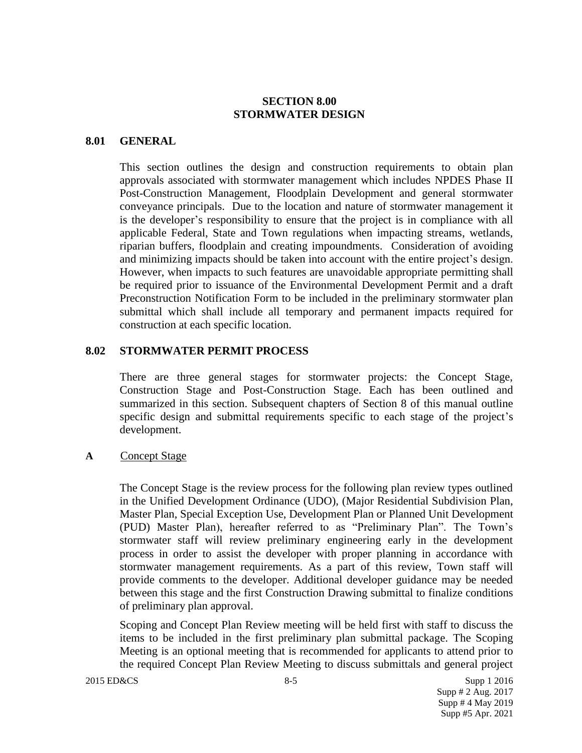## **SECTION 8.00 STORMWATER DESIGN**

#### **8.01 GENERAL**

This section outlines the design and construction requirements to obtain plan approvals associated with stormwater management which includes NPDES Phase II Post-Construction Management, Floodplain Development and general stormwater conveyance principals. Due to the location and nature of stormwater management it is the developer's responsibility to ensure that the project is in compliance with all applicable Federal, State and Town regulations when impacting streams, wetlands, riparian buffers, floodplain and creating impoundments. Consideration of avoiding and minimizing impacts should be taken into account with the entire project's design. However, when impacts to such features are unavoidable appropriate permitting shall be required prior to issuance of the Environmental Development Permit and a draft Preconstruction Notification Form to be included in the preliminary stormwater plan submittal which shall include all temporary and permanent impacts required for construction at each specific location.

## **8.02 STORMWATER PERMIT PROCESS**

There are three general stages for stormwater projects: the Concept Stage, Construction Stage and Post-Construction Stage. Each has been outlined and summarized in this section. Subsequent chapters of Section 8 of this manual outline specific design and submittal requirements specific to each stage of the project's development.

**A** Concept Stage

The Concept Stage is the review process for the following plan review types outlined in the Unified Development Ordinance (UDO), (Major Residential Subdivision Plan, Master Plan, Special Exception Use, Development Plan or Planned Unit Development (PUD) Master Plan), hereafter referred to as "Preliminary Plan". The Town's stormwater staff will review preliminary engineering early in the development process in order to assist the developer with proper planning in accordance with stormwater management requirements. As a part of this review, Town staff will provide comments to the developer. Additional developer guidance may be needed between this stage and the first Construction Drawing submittal to finalize conditions of preliminary plan approval.

Scoping and Concept Plan Review meeting will be held first with staff to discuss the items to be included in the first preliminary plan submittal package. The Scoping Meeting is an optional meeting that is recommended for applicants to attend prior to the required Concept Plan Review Meeting to discuss submittals and general project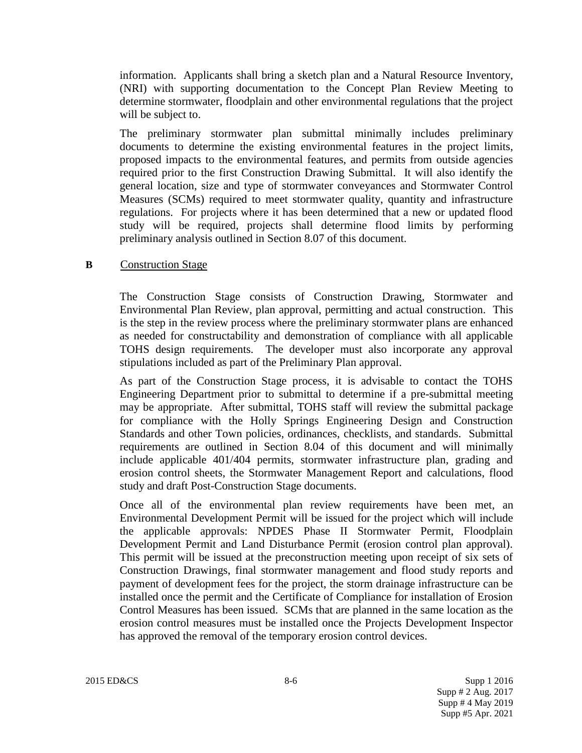information. Applicants shall bring a sketch plan and a Natural Resource Inventory, (NRI) with supporting documentation to the Concept Plan Review Meeting to determine stormwater, floodplain and other environmental regulations that the project will be subject to.

The preliminary stormwater plan submittal minimally includes preliminary documents to determine the existing environmental features in the project limits, proposed impacts to the environmental features, and permits from outside agencies required prior to the first Construction Drawing Submittal. It will also identify the general location, size and type of stormwater conveyances and Stormwater Control Measures (SCMs) required to meet stormwater quality, quantity and infrastructure regulations. For projects where it has been determined that a new or updated flood study will be required, projects shall determine flood limits by performing preliminary analysis outlined in Section 8.07 of this document.

#### **B** Construction Stage

The Construction Stage consists of Construction Drawing, Stormwater and Environmental Plan Review, plan approval, permitting and actual construction. This is the step in the review process where the preliminary stormwater plans are enhanced as needed for constructability and demonstration of compliance with all applicable TOHS design requirements. The developer must also incorporate any approval stipulations included as part of the Preliminary Plan approval.

As part of the Construction Stage process, it is advisable to contact the TOHS Engineering Department prior to submittal to determine if a pre-submittal meeting may be appropriate. After submittal, TOHS staff will review the submittal package for compliance with the Holly Springs Engineering Design and Construction Standards and other Town policies, ordinances, checklists, and standards. Submittal requirements are outlined in Section 8.04 of this document and will minimally include applicable 401/404 permits, stormwater infrastructure plan, grading and erosion control sheets, the Stormwater Management Report and calculations, flood study and draft Post-Construction Stage documents.

Once all of the environmental plan review requirements have been met, an Environmental Development Permit will be issued for the project which will include the applicable approvals: NPDES Phase II Stormwater Permit, Floodplain Development Permit and Land Disturbance Permit (erosion control plan approval). This permit will be issued at the preconstruction meeting upon receipt of six sets of Construction Drawings, final stormwater management and flood study reports and payment of development fees for the project, the storm drainage infrastructure can be installed once the permit and the Certificate of Compliance for installation of Erosion Control Measures has been issued. SCMs that are planned in the same location as the erosion control measures must be installed once the Projects Development Inspector has approved the removal of the temporary erosion control devices.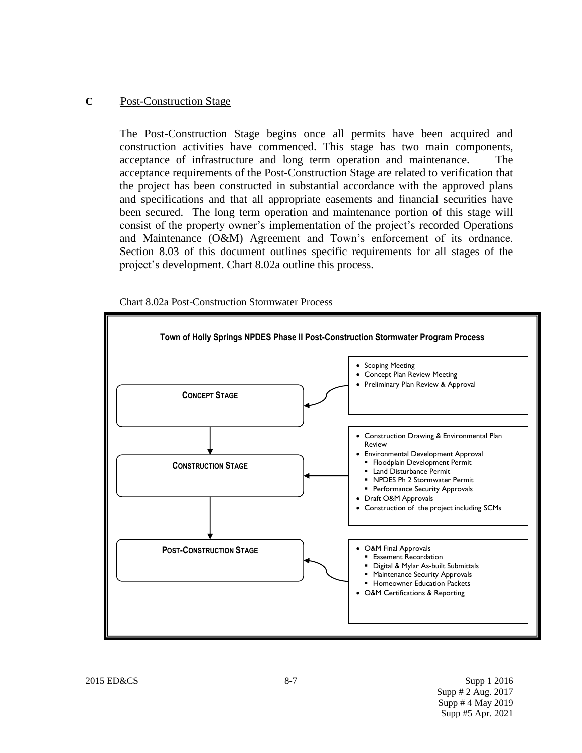## **C** Post-Construction Stage

The Post-Construction Stage begins once all permits have been acquired and construction activities have commenced. This stage has two main components, acceptance of infrastructure and long term operation and maintenance. The acceptance requirements of the Post-Construction Stage are related to verification that the project has been constructed in substantial accordance with the approved plans and specifications and that all appropriate easements and financial securities have been secured. The long term operation and maintenance portion of this stage will consist of the property owner's implementation of the project's recorded Operations and Maintenance (O&M) Agreement and Town's enforcement of its ordnance. Section 8.03 of this document outlines specific requirements for all stages of the project's development. Chart 8.02a outline this process.



Chart 8.02a Post-Construction Stormwater Process

 $2015$  ED&CS Supp 1 2016 Supp # 2 Aug. 2017 Supp # 4 May 2019 Supp #5 Apr. 2021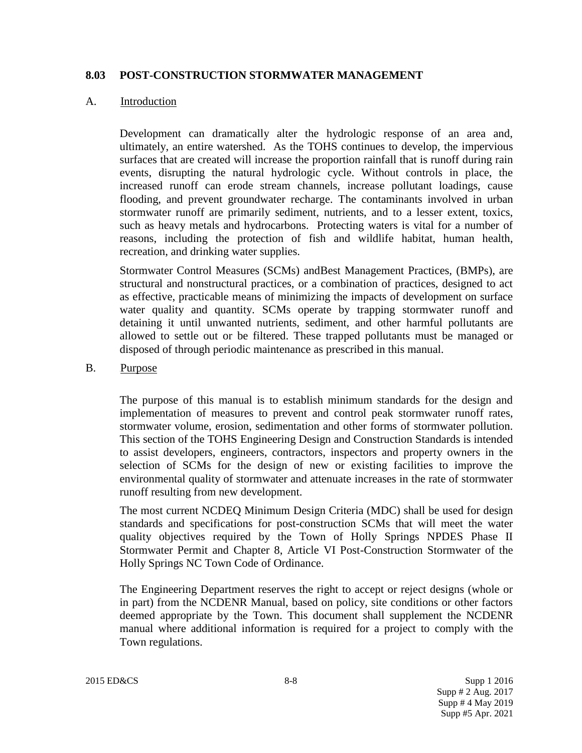## **8.03 POST-CONSTRUCTION STORMWATER MANAGEMENT**

## A. Introduction

Development can dramatically alter the hydrologic response of an area and, ultimately, an entire watershed. As the TOHS continues to develop, the impervious surfaces that are created will increase the proportion rainfall that is runoff during rain events, disrupting the natural hydrologic cycle. Without controls in place, the increased runoff can erode stream channels, increase pollutant loadings, cause flooding, and prevent groundwater recharge. The contaminants involved in urban stormwater runoff are primarily sediment, nutrients, and to a lesser extent, toxics, such as heavy metals and hydrocarbons. Protecting waters is vital for a number of reasons, including the protection of fish and wildlife habitat, human health, recreation, and drinking water supplies.

Stormwater Control Measures (SCMs) andBest Management Practices, (BMPs), are structural and nonstructural practices, or a combination of practices, designed to act as effective, practicable means of minimizing the impacts of development on surface water quality and quantity. SCMs operate by trapping stormwater runoff and detaining it until unwanted nutrients, sediment, and other harmful pollutants are allowed to settle out or be filtered. These trapped pollutants must be managed or disposed of through periodic maintenance as prescribed in this manual.

## B. Purpose

The purpose of this manual is to establish minimum standards for the design and implementation of measures to prevent and control peak stormwater runoff rates, stormwater volume, erosion, sedimentation and other forms of stormwater pollution. This section of the TOHS Engineering Design and Construction Standards is intended to assist developers, engineers, contractors, inspectors and property owners in the selection of SCMs for the design of new or existing facilities to improve the environmental quality of stormwater and attenuate increases in the rate of stormwater runoff resulting from new development.

The most current NCDEQ Minimum Design Criteria (MDC) shall be used for design standards and specifications for post-construction SCMs that will meet the water quality objectives required by the Town of Holly Springs NPDES Phase II Stormwater Permit and Chapter 8, Article VI Post-Construction Stormwater of the Holly Springs NC Town Code of Ordinance.

The Engineering Department reserves the right to accept or reject designs (whole or in part) from the NCDENR Manual, based on policy, site conditions or other factors deemed appropriate by the Town. This document shall supplement the NCDENR manual where additional information is required for a project to comply with the Town regulations.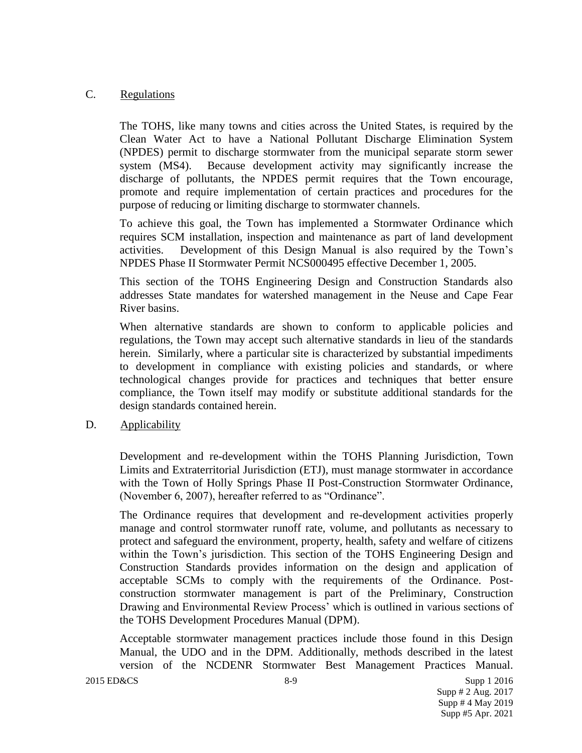## C. Regulations

The TOHS, like many towns and cities across the United States, is required by the Clean Water Act to have a National Pollutant Discharge Elimination System (NPDES) permit to discharge stormwater from the municipal separate storm sewer system (MS4). Because development activity may significantly increase the discharge of pollutants, the NPDES permit requires that the Town encourage, promote and require implementation of certain practices and procedures for the purpose of reducing or limiting discharge to stormwater channels.

To achieve this goal, the Town has implemented a Stormwater Ordinance which requires SCM installation, inspection and maintenance as part of land development activities. Development of this Design Manual is also required by the Town's NPDES Phase II Stormwater Permit NCS000495 effective December 1, 2005.

This section of the TOHS Engineering Design and Construction Standards also addresses State mandates for watershed management in the Neuse and Cape Fear River basins.

When alternative standards are shown to conform to applicable policies and regulations, the Town may accept such alternative standards in lieu of the standards herein. Similarly, where a particular site is characterized by substantial impediments to development in compliance with existing policies and standards, or where technological changes provide for practices and techniques that better ensure compliance, the Town itself may modify or substitute additional standards for the design standards contained herein.

## D. Applicability

Development and re-development within the TOHS Planning Jurisdiction, Town Limits and Extraterritorial Jurisdiction (ETJ), must manage stormwater in accordance with the Town of Holly Springs Phase II Post-Construction Stormwater Ordinance, (November 6, 2007), hereafter referred to as "Ordinance".

The Ordinance requires that development and re-development activities properly manage and control stormwater runoff rate, volume, and pollutants as necessary to protect and safeguard the environment, property, health, safety and welfare of citizens within the Town's jurisdiction. This section of the TOHS Engineering Design and Construction Standards provides information on the design and application of acceptable SCMs to comply with the requirements of the Ordinance. Postconstruction stormwater management is part of the Preliminary, Construction Drawing and Environmental Review Process' which is outlined in various sections of the TOHS Development Procedures Manual (DPM).

Acceptable stormwater management practices include those found in this Design Manual, the UDO and in the DPM. Additionally, methods described in the latest version of the NCDENR Stormwater Best Management Practices Manual.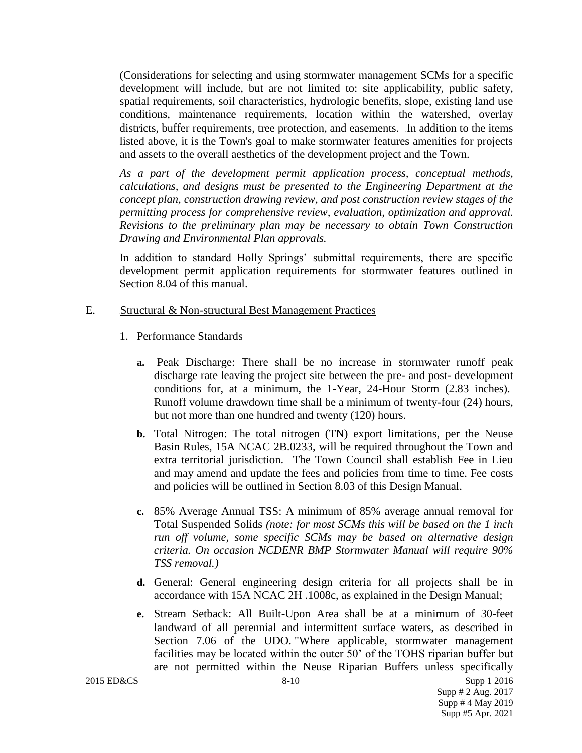(Considerations for selecting and using stormwater management SCMs for a specific development will include, but are not limited to: site applicability, public safety, spatial requirements, soil characteristics, hydrologic benefits, slope, existing land use conditions, maintenance requirements, location within the watershed, overlay districts, buffer requirements, tree protection, and easements. In addition to the items listed above, it is the Town's goal to make stormwater features amenities for projects and assets to the overall aesthetics of the development project and the Town.

*As a part of the development permit application process, conceptual methods, calculations, and designs must be presented to the Engineering Department at the concept plan, construction drawing review, and post construction review stages of the permitting process for comprehensive review, evaluation, optimization and approval. Revisions to the preliminary plan may be necessary to obtain Town Construction Drawing and Environmental Plan approvals.* 

In addition to standard Holly Springs' submittal requirements, there are specific development permit application requirements for stormwater features outlined in Section 8.04 of this manual.

## E. Structural & Non-structural Best Management Practices

- 1. Performance Standards
	- **a.** Peak Discharge: There shall be no increase in stormwater runoff peak discharge rate leaving the project site between the pre- and post- development conditions for, at a minimum, the 1-Year, 24-Hour Storm (2.83 inches). Runoff volume drawdown time shall be a minimum of twenty-four (24) hours, but not more than one hundred and twenty (120) hours.
	- **b.** Total Nitrogen: The total nitrogen (TN) export limitations, per the Neuse Basin Rules, 15A NCAC 2B.0233, will be required throughout the Town and extra territorial jurisdiction. The Town Council shall establish Fee in Lieu and may amend and update the fees and policies from time to time. Fee costs and policies will be outlined in Section 8.03 of this Design Manual.
	- **c.** 85% Average Annual TSS: A minimum of 85% average annual removal for Total Suspended Solids *(note: for most SCMs this will be based on the 1 inch run off volume, some specific SCMs may be based on alternative design criteria. On occasion NCDENR BMP Stormwater Manual will require 90% TSS removal.)*
	- **d.** General: General engineering design criteria for all projects shall be in accordance with 15A NCAC 2H .1008c, as explained in the Design Manual;
	- **e.** Stream Setback: All Built-Upon Area shall be at a minimum of 30-feet landward of all perennial and intermittent surface waters, as described in Section 7.06 of the UDO. "Where applicable, stormwater management facilities may be located within the outer 50' of the TOHS riparian buffer but are not permitted within the Neuse Riparian Buffers unless specifically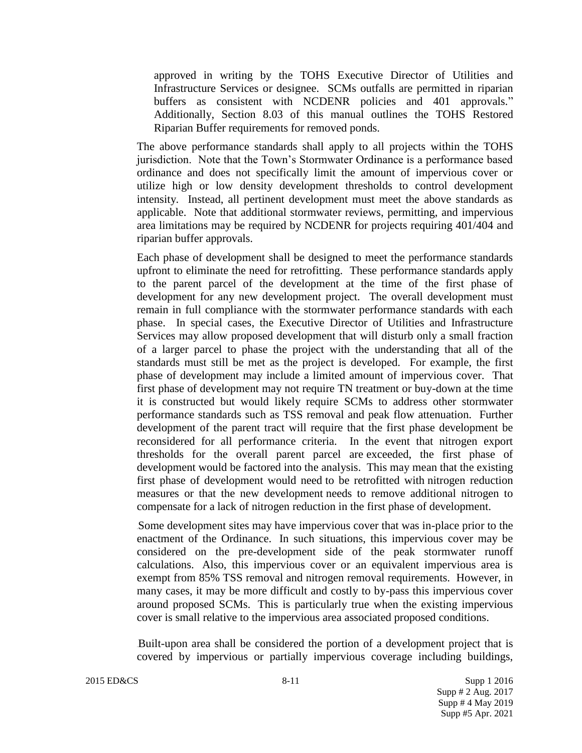approved in writing by the TOHS Executive Director of Utilities and Infrastructure Services or designee. SCMs outfalls are permitted in riparian buffers as consistent with NCDENR policies and 401 approvals." Additionally, Section 8.03 of this manual outlines the TOHS Restored Riparian Buffer requirements for removed ponds.

The above performance standards shall apply to all projects within the TOHS jurisdiction. Note that the Town's Stormwater Ordinance is a performance based ordinance and does not specifically limit the amount of impervious cover or utilize high or low density development thresholds to control development intensity. Instead, all pertinent development must meet the above standards as applicable. Note that additional stormwater reviews, permitting, and impervious area limitations may be required by NCDENR for projects requiring 401/404 and riparian buffer approvals.

Each phase of development shall be designed to meet the performance standards upfront to eliminate the need for retrofitting. These performance standards apply to the parent parcel of the development at the time of the first phase of development for any new development project. The overall development must remain in full compliance with the stormwater performance standards with each phase. In special cases, the Executive Director of Utilities and Infrastructure Services may allow proposed development that will disturb only a small fraction of a larger parcel to phase the project with the understanding that all of the standards must still be met as the project is developed. For example, the first phase of development may include a limited amount of impervious cover. That first phase of development may not require TN treatment or buy-down at the time it is constructed but would likely require SCMs to address other stormwater performance standards such as TSS removal and peak flow attenuation. Further development of the parent tract will require that the first phase development be reconsidered for all performance criteria. In the event that nitrogen export thresholds for the overall parent parcel are exceeded, the first phase of development would be factored into the analysis. This may mean that the existing first phase of development would need to be retrofitted with nitrogen reduction measures or that the new development needs to remove additional nitrogen to compensate for a lack of nitrogen reduction in the first phase of development.

Some development sites may have impervious cover that was in-place prior to the enactment of the Ordinance. In such situations, this impervious cover may be considered on the pre-development side of the peak stormwater runoff calculations. Also, this impervious cover or an equivalent impervious area is exempt from 85% TSS removal and nitrogen removal requirements. However, in many cases, it may be more difficult and costly to by-pass this impervious cover around proposed SCMs. This is particularly true when the existing impervious cover is small relative to the impervious area associated proposed conditions.

Built-upon area shall be considered the portion of a development project that is covered by impervious or partially impervious coverage including buildings,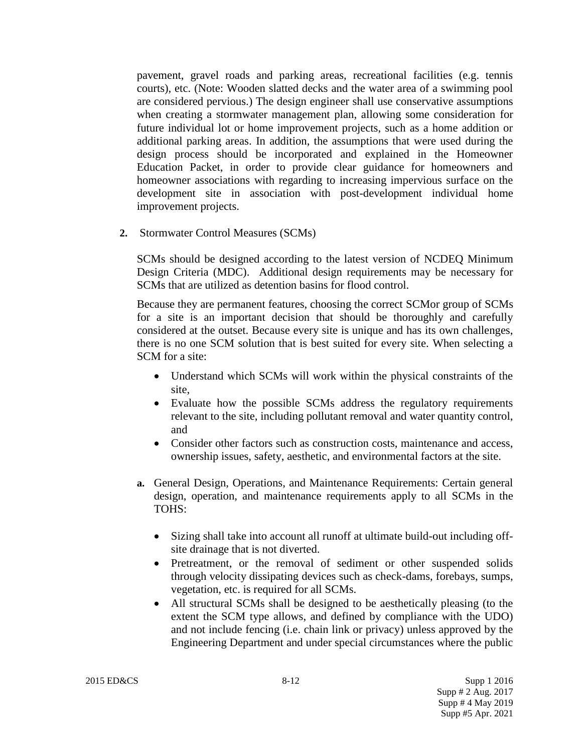pavement, gravel roads and parking areas, recreational facilities (e.g. tennis courts), etc. (Note: Wooden slatted decks and the water area of a swimming pool are considered pervious.) The design engineer shall use conservative assumptions when creating a stormwater management plan, allowing some consideration for future individual lot or home improvement projects, such as a home addition or additional parking areas. In addition, the assumptions that were used during the design process should be incorporated and explained in the Homeowner Education Packet, in order to provide clear guidance for homeowners and homeowner associations with regarding to increasing impervious surface on the development site in association with post-development individual home improvement projects.

**2.** Stormwater Control Measures (SCMs)

SCMs should be designed according to the latest version of NCDEQ Minimum Design Criteria (MDC). Additional design requirements may be necessary for SCMs that are utilized as detention basins for flood control.

Because they are permanent features, choosing the correct SCMor group of SCMs for a site is an important decision that should be thoroughly and carefully considered at the outset. Because every site is unique and has its own challenges, there is no one SCM solution that is best suited for every site. When selecting a SCM for a site:

- Understand which SCMs will work within the physical constraints of the site,
- Evaluate how the possible SCMs address the regulatory requirements relevant to the site, including pollutant removal and water quantity control, and
- Consider other factors such as construction costs, maintenance and access, ownership issues, safety, aesthetic, and environmental factors at the site.
- **a.** General Design, Operations, and Maintenance Requirements: Certain general design, operation, and maintenance requirements apply to all SCMs in the TOHS:
	- Sizing shall take into account all runoff at ultimate build-out including offsite drainage that is not diverted.
	- Pretreatment, or the removal of sediment or other suspended solids through velocity dissipating devices such as check-dams, forebays, sumps, vegetation, etc. is required for all SCMs.
	- All structural SCMs shall be designed to be aesthetically pleasing (to the extent the SCM type allows, and defined by compliance with the UDO) and not include fencing (i.e. chain link or privacy) unless approved by the Engineering Department and under special circumstances where the public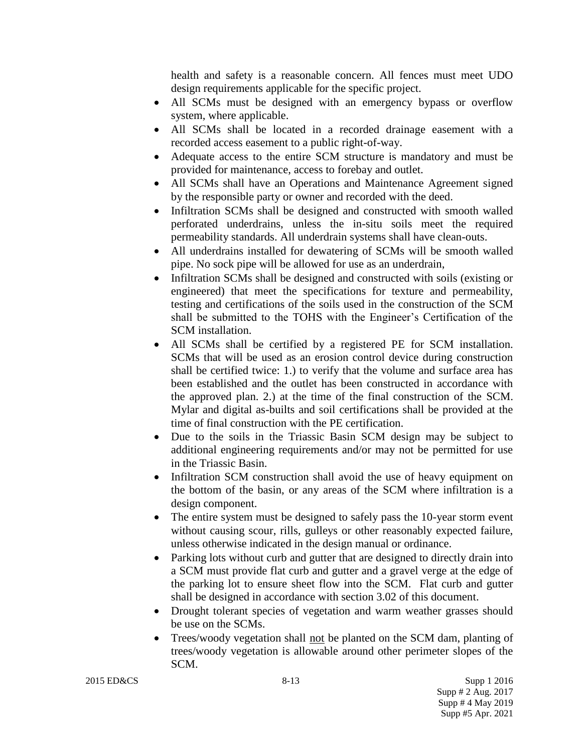health and safety is a reasonable concern. All fences must meet UDO design requirements applicable for the specific project.

- All SCMs must be designed with an emergency bypass or overflow system, where applicable.
- All SCMs shall be located in a recorded drainage easement with a recorded access easement to a public right-of-way.
- Adequate access to the entire SCM structure is mandatory and must be provided for maintenance, access to forebay and outlet.
- All SCMs shall have an Operations and Maintenance Agreement signed by the responsible party or owner and recorded with the deed.
- Infiltration SCMs shall be designed and constructed with smooth walled perforated underdrains, unless the in-situ soils meet the required permeability standards. All underdrain systems shall have clean-outs.
- All underdrains installed for dewatering of SCMs will be smooth walled pipe. No sock pipe will be allowed for use as an underdrain,
- Infiltration SCMs shall be designed and constructed with soils (existing or engineered) that meet the specifications for texture and permeability, testing and certifications of the soils used in the construction of the SCM shall be submitted to the TOHS with the Engineer's Certification of the SCM installation.
- All SCMs shall be certified by a registered PE for SCM installation. SCMs that will be used as an erosion control device during construction shall be certified twice: 1.) to verify that the volume and surface area has been established and the outlet has been constructed in accordance with the approved plan. 2.) at the time of the final construction of the SCM. Mylar and digital as-builts and soil certifications shall be provided at the time of final construction with the PE certification.
- Due to the soils in the Triassic Basin SCM design may be subject to additional engineering requirements and/or may not be permitted for use in the Triassic Basin.
- Infiltration SCM construction shall avoid the use of heavy equipment on the bottom of the basin, or any areas of the SCM where infiltration is a design component.
- The entire system must be designed to safely pass the 10-year storm event without causing scour, rills, gulleys or other reasonably expected failure, unless otherwise indicated in the design manual or ordinance.
- Parking lots without curb and gutter that are designed to directly drain into a SCM must provide flat curb and gutter and a gravel verge at the edge of the parking lot to ensure sheet flow into the SCM. Flat curb and gutter shall be designed in accordance with section 3.02 of this document.
- Drought tolerant species of vegetation and warm weather grasses should be use on the SCMs.
- Trees/woody vegetation shall not be planted on the SCM dam, planting of trees/woody vegetation is allowable around other perimeter slopes of the SCM.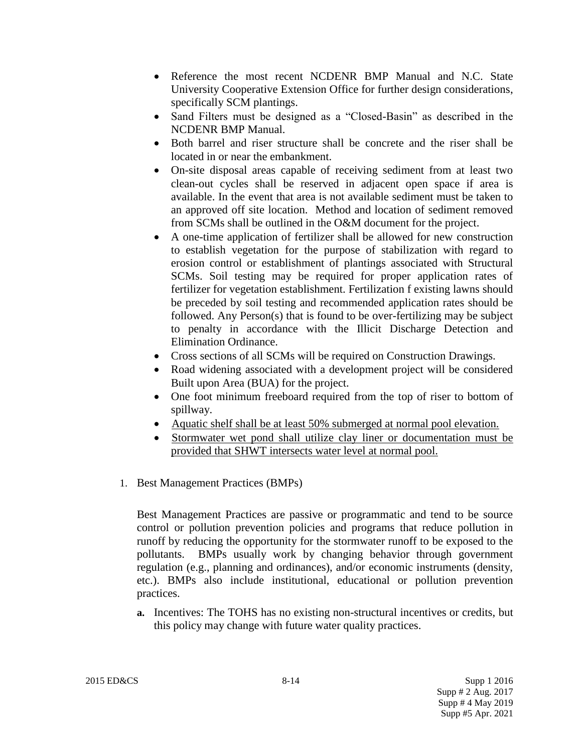- Reference the most recent NCDENR BMP Manual and N.C. State University Cooperative Extension Office for further design considerations, specifically SCM plantings.
- Sand Filters must be designed as a "Closed-Basin" as described in the NCDENR BMP Manual.
- Both barrel and riser structure shall be concrete and the riser shall be located in or near the embankment.
- On-site disposal areas capable of receiving sediment from at least two clean-out cycles shall be reserved in adjacent open space if area is available. In the event that area is not available sediment must be taken to an approved off site location. Method and location of sediment removed from SCMs shall be outlined in the O&M document for the project.
- A one-time application of fertilizer shall be allowed for new construction to establish vegetation for the purpose of stabilization with regard to erosion control or establishment of plantings associated with Structural SCMs. Soil testing may be required for proper application rates of fertilizer for vegetation establishment. Fertilization f existing lawns should be preceded by soil testing and recommended application rates should be followed. Any Person(s) that is found to be over-fertilizing may be subject to penalty in accordance with the Illicit Discharge Detection and Elimination Ordinance.
- Cross sections of all SCMs will be required on Construction Drawings.
- Road widening associated with a development project will be considered Built upon Area (BUA) for the project.
- One foot minimum freeboard required from the top of riser to bottom of spillway.
- Aquatic shelf shall be at least 50% submerged at normal pool elevation.
- Stormwater wet pond shall utilize clay liner or documentation must be provided that SHWT intersects water level at normal pool.
- 1. Best Management Practices (BMPs)

Best Management Practices are passive or programmatic and tend to be source control or pollution prevention policies and programs that reduce pollution in runoff by reducing the opportunity for the stormwater runoff to be exposed to the pollutants. BMPs usually work by changing behavior through government regulation (e.g., planning and ordinances), and/or economic instruments (density, etc.). BMPs also include institutional, educational or pollution prevention practices.

**a.** Incentives: The TOHS has no existing non-structural incentives or credits, but this policy may change with future water quality practices.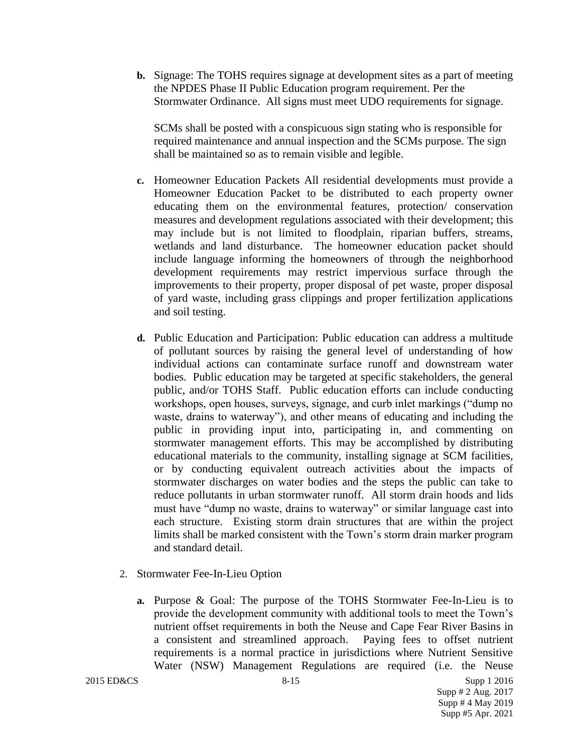**b.** Signage: The TOHS requires signage at development sites as a part of meeting the NPDES Phase II Public Education program requirement. Per the Stormwater Ordinance. All signs must meet UDO requirements for signage.

SCMs shall be posted with a conspicuous sign stating who is responsible for required maintenance and annual inspection and the SCMs purpose. The sign shall be maintained so as to remain visible and legible.

- **c.** Homeowner Education Packets All residential developments must provide a Homeowner Education Packet to be distributed to each property owner educating them on the environmental features, protection/ conservation measures and development regulations associated with their development; this may include but is not limited to floodplain, riparian buffers, streams, wetlands and land disturbance. The homeowner education packet should include language informing the homeowners of through the neighborhood development requirements may restrict impervious surface through the improvements to their property, proper disposal of pet waste, proper disposal of yard waste, including grass clippings and proper fertilization applications and soil testing.
- **d.** Public Education and Participation: Public education can address a multitude of pollutant sources by raising the general level of understanding of how individual actions can contaminate surface runoff and downstream water bodies. Public education may be targeted at specific stakeholders, the general public, and/or TOHS Staff. Public education efforts can include conducting workshops, open houses, surveys, signage, and curb inlet markings ("dump no waste, drains to waterway"), and other means of educating and including the public in providing input into, participating in, and commenting on stormwater management efforts. This may be accomplished by distributing educational materials to the community, installing signage at SCM facilities, or by conducting equivalent outreach activities about the impacts of stormwater discharges on water bodies and the steps the public can take to reduce pollutants in urban stormwater runoff. All storm drain hoods and lids must have "dump no waste, drains to waterway" or similar language cast into each structure. Existing storm drain structures that are within the project limits shall be marked consistent with the Town's storm drain marker program and standard detail.
- 2. Stormwater Fee-In-Lieu Option
	- **a.** Purpose & Goal: The purpose of the TOHS Stormwater Fee-In-Lieu is to provide the development community with additional tools to meet the Town's nutrient offset requirements in both the Neuse and Cape Fear River Basins in a consistent and streamlined approach. Paying fees to offset nutrient requirements is a normal practice in jurisdictions where Nutrient Sensitive Water (NSW) Management Regulations are required (i.e. the Neuse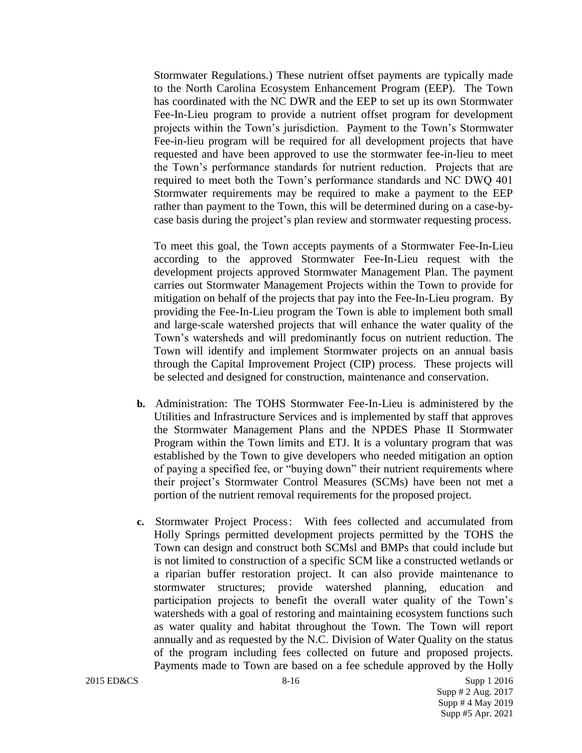Stormwater Regulations.) These nutrient offset payments are typically made to the North Carolina Ecosystem Enhancement Program (EEP). The Town has coordinated with the NC DWR and the EEP to set up its own Stormwater Fee-In-Lieu program to provide a nutrient offset program for development projects within the Town's jurisdiction. Payment to the Town's Stormwater Fee-in-lieu program will be required for all development projects that have requested and have been approved to use the stormwater fee-in-lieu to meet the Town's performance standards for nutrient reduction. Projects that are required to meet both the Town's performance standards and NC DWQ 401 Stormwater requirements may be required to make a payment to the EEP rather than payment to the Town, this will be determined during on a case-bycase basis during the project's plan review and stormwater requesting process.

To meet this goal, the Town accepts payments of a Stormwater Fee-In-Lieu according to the approved Stormwater Fee-In-Lieu request with the development projects approved Stormwater Management Plan. The payment carries out Stormwater Management Projects within the Town to provide for mitigation on behalf of the projects that pay into the Fee-In-Lieu program. By providing the Fee-In-Lieu program the Town is able to implement both small and large-scale watershed projects that will enhance the water quality of the Town's watersheds and will predominantly focus on nutrient reduction. The Town will identify and implement Stormwater projects on an annual basis through the Capital Improvement Project (CIP) process. These projects will be selected and designed for construction, maintenance and conservation.

- **b.** Administration: The TOHS Stormwater Fee-In-Lieu is administered by the Utilities and Infrastructure Services and is implemented by staff that approves the Stormwater Management Plans and the NPDES Phase II Stormwater Program within the Town limits and ETJ. It is a voluntary program that was established by the Town to give developers who needed mitigation an option of paying a specified fee, or "buying down" their nutrient requirements where their project's Stormwater Control Measures (SCMs) have been not met a portion of the nutrient removal requirements for the proposed project.
- **c.** Stormwater Project Process: With fees collected and accumulated from Holly Springs permitted development projects permitted by the TOHS the Town can design and construct both SCMsl and BMPs that could include but is not limited to construction of a specific SCM like a constructed wetlands or a riparian buffer restoration project. It can also provide maintenance to stormwater structures; provide watershed planning, education and participation projects to benefit the overall water quality of the Town's watersheds with a goal of restoring and maintaining ecosystem functions such as water quality and habitat throughout the Town. The Town will report annually and as requested by the N.C. Division of Water Quality on the status of the program including fees collected on future and proposed projects. Payments made to Town are based on a fee schedule approved by the Holly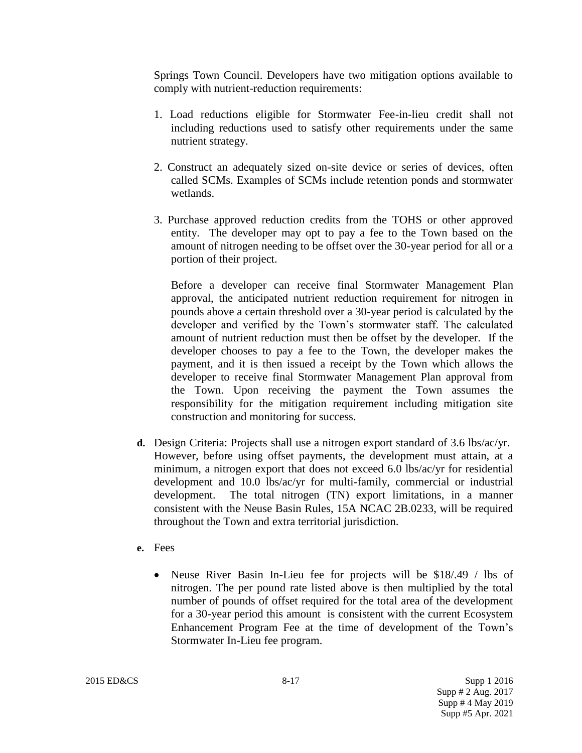Springs Town Council. Developers have two mitigation options available to comply with nutrient-reduction requirements:

- 1. Load reductions eligible for Stormwater Fee-in-lieu credit shall not including reductions used to satisfy other requirements under the same nutrient strategy.
- 2. Construct an adequately sized on-site device or series of devices, often called SCMs. Examples of SCMs include retention ponds and stormwater wetlands.
- 3. Purchase approved reduction credits from the TOHS or other approved entity. The developer may opt to pay a fee to the Town based on the amount of nitrogen needing to be offset over the 30-year period for all or a portion of their project.

Before a developer can receive final Stormwater Management Plan approval, the anticipated nutrient reduction requirement for nitrogen in pounds above a certain threshold over a 30-year period is calculated by the developer and verified by the Town's stormwater staff. The calculated amount of nutrient reduction must then be offset by the developer. If the developer chooses to pay a fee to the Town, the developer makes the payment, and it is then issued a receipt by the Town which allows the developer to receive final Stormwater Management Plan approval from the Town. Upon receiving the payment the Town assumes the responsibility for the mitigation requirement including mitigation site construction and monitoring for success.

- **d.** Design Criteria: Projects shall use a nitrogen export standard of 3.6 lbs/ac/yr. However, before using offset payments, the development must attain, at a minimum, a nitrogen export that does not exceed 6.0 lbs/ac/yr for residential development and 10.0 lbs/ac/yr for multi-family, commercial or industrial development. The total nitrogen (TN) export limitations, in a manner consistent with the Neuse Basin Rules, 15A NCAC 2B.0233, will be required throughout the Town and extra territorial jurisdiction.
- **e.** Fees
	- Neuse River Basin In-Lieu fee for projects will be \$18/.49 / lbs of nitrogen. The per pound rate listed above is then multiplied by the total number of pounds of offset required for the total area of the development for a 30-year period this amount is consistent with the current Ecosystem Enhancement Program Fee at the time of development of the Town's Stormwater In-Lieu fee program.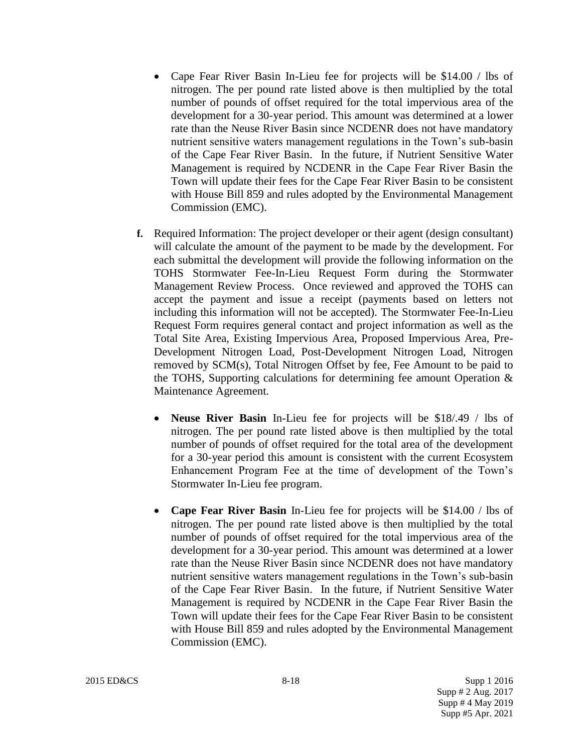- Cape Fear River Basin In-Lieu fee for projects will be \$14.00 / lbs of nitrogen. The per pound rate listed above is then multiplied by the total number of pounds of offset required for the total impervious area of the development for a 30-year period. This amount was determined at a lower rate than the Neuse River Basin since NCDENR does not have mandatory nutrient sensitive waters management regulations in the Town's sub-basin of the Cape Fear River Basin. In the future, if Nutrient Sensitive Water Management is required by NCDENR in the Cape Fear River Basin the Town will update their fees for the Cape Fear River Basin to be consistent with House Bill 859 and rules adopted by the Environmental Management Commission (EMC).
- **f.** Required Information: The project developer or their agent (design consultant) will calculate the amount of the payment to be made by the development. For each submittal the development will provide the following information on the TOHS Stormwater Fee-In-Lieu Request Form during the Stormwater Management Review Process. Once reviewed and approved the TOHS can accept the payment and issue a receipt (payments based on letters not including this information will not be accepted). The Stormwater Fee-In-Lieu Request Form requires general contact and project information as well as the Total Site Area, Existing Impervious Area, Proposed Impervious Area, Pre-Development Nitrogen Load, Post-Development Nitrogen Load, Nitrogen removed by SCM(s), Total Nitrogen Offset by fee, Fee Amount to be paid to the TOHS, Supporting calculations for determining fee amount Operation & Maintenance Agreement.
	- **Neuse River Basin** In-Lieu fee for projects will be \$18/.49 / lbs of nitrogen. The per pound rate listed above is then multiplied by the total number of pounds of offset required for the total area of the development for a 30-year period this amount is consistent with the current Ecosystem Enhancement Program Fee at the time of development of the Town's Stormwater In-Lieu fee program.
	- **Cape Fear River Basin** In-Lieu fee for projects will be \$14.00 / lbs of nitrogen. The per pound rate listed above is then multiplied by the total number of pounds of offset required for the total impervious area of the development for a 30-year period. This amount was determined at a lower rate than the Neuse River Basin since NCDENR does not have mandatory nutrient sensitive waters management regulations in the Town's sub-basin of the Cape Fear River Basin. In the future, if Nutrient Sensitive Water Management is required by NCDENR in the Cape Fear River Basin the Town will update their fees for the Cape Fear River Basin to be consistent with House Bill 859 and rules adopted by the Environmental Management Commission (EMC).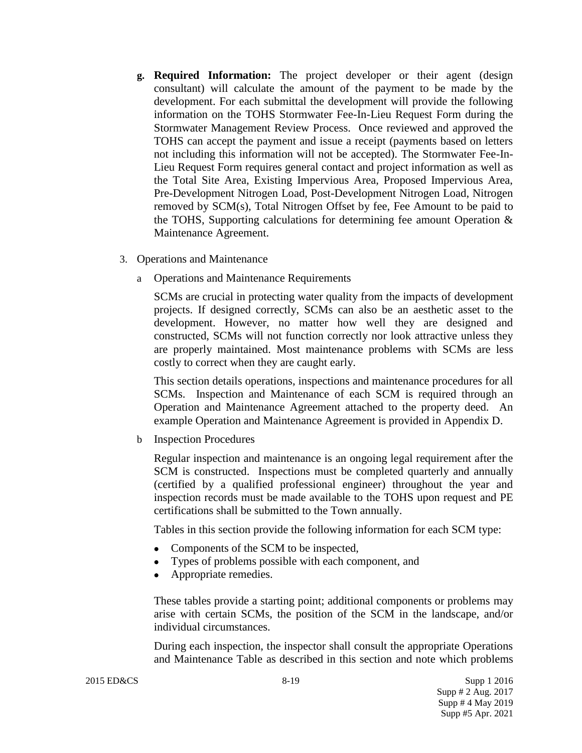- **g. Required Information:** The project developer or their agent (design consultant) will calculate the amount of the payment to be made by the development. For each submittal the development will provide the following information on the TOHS Stormwater Fee-In-Lieu Request Form during the Stormwater Management Review Process. Once reviewed and approved the TOHS can accept the payment and issue a receipt (payments based on letters not including this information will not be accepted). The Stormwater Fee-In-Lieu Request Form requires general contact and project information as well as the Total Site Area, Existing Impervious Area, Proposed Impervious Area, Pre-Development Nitrogen Load, Post-Development Nitrogen Load, Nitrogen removed by SCM(s), Total Nitrogen Offset by fee, Fee Amount to be paid to the TOHS, Supporting calculations for determining fee amount Operation & Maintenance Agreement.
- 3. Operations and Maintenance
	- a Operations and Maintenance Requirements

SCMs are crucial in protecting water quality from the impacts of development projects. If designed correctly, SCMs can also be an aesthetic asset to the development. However, no matter how well they are designed and constructed, SCMs will not function correctly nor look attractive unless they are properly maintained. Most maintenance problems with SCMs are less costly to correct when they are caught early.

This section details operations, inspections and maintenance procedures for all SCMs. Inspection and Maintenance of each SCM is required through an Operation and Maintenance Agreement attached to the property deed. An example Operation and Maintenance Agreement is provided in Appendix D.

b Inspection Procedures

Regular inspection and maintenance is an ongoing legal requirement after the SCM is constructed. Inspections must be completed quarterly and annually (certified by a qualified professional engineer) throughout the year and inspection records must be made available to the TOHS upon request and PE certifications shall be submitted to the Town annually.

Tables in this section provide the following information for each SCM type:

- Components of the SCM to be inspected,
- Types of problems possible with each component, and
- Appropriate remedies.

These tables provide a starting point; additional components or problems may arise with certain SCMs, the position of the SCM in the landscape, and/or individual circumstances.

During each inspection, the inspector shall consult the appropriate Operations and Maintenance Table as described in this section and note which problems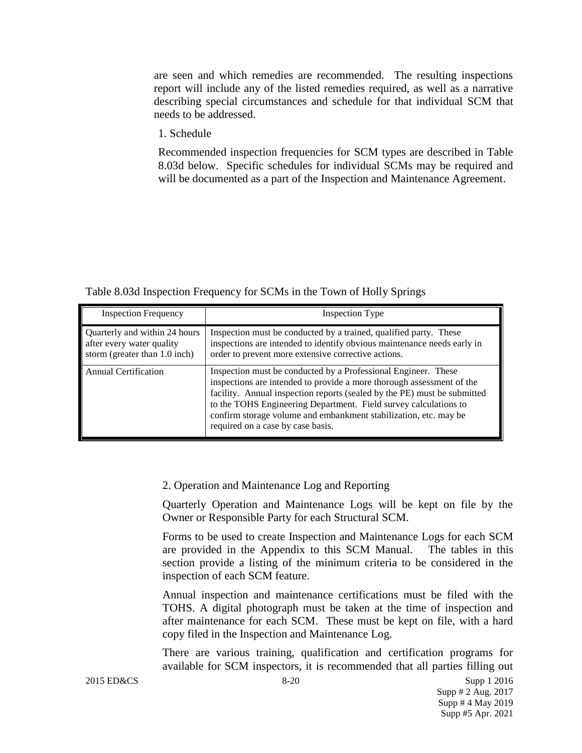are seen and which remedies are recommended. The resulting inspections report will include any of the listed remedies required, as well as a narrative describing special circumstances and schedule for that individual SCM that needs to be addressed.

1. Schedule

Recommended inspection frequencies for SCM types are described in Table 8.03d below. Specific schedules for individual SCMs may be required and will be documented as a part of the Inspection and Maintenance Agreement.

Table 8.03d Inspection Frequency for SCMs in the Town of Holly Springs

| <b>Inspection Frequency</b>                                                                   | Inspection Type                                                                                                                                                                                                                                                                                                                                                                                  |
|-----------------------------------------------------------------------------------------------|--------------------------------------------------------------------------------------------------------------------------------------------------------------------------------------------------------------------------------------------------------------------------------------------------------------------------------------------------------------------------------------------------|
| Quarterly and within 24 hours<br>after every water quality<br>storm (greater than $1.0$ inch) | Inspection must be conducted by a trained, qualified party. These<br>inspections are intended to identify obvious maintenance needs early in<br>order to prevent more extensive corrective actions.                                                                                                                                                                                              |
| <b>Annual Certification</b>                                                                   | Inspection must be conducted by a Professional Engineer. These<br>inspections are intended to provide a more thorough assessment of the<br>facility. Annual inspection reports (sealed by the PE) must be submitted<br>to the TOHS Engineering Department. Field survey calculations to<br>confirm storage volume and embankment stabilization, etc. may be<br>required on a case by case basis. |

#### 2. Operation and Maintenance Log and Reporting

Quarterly Operation and Maintenance Logs will be kept on file by the Owner or Responsible Party for each Structural SCM.

Forms to be used to create Inspection and Maintenance Logs for each SCM are provided in the Appendix to this SCM Manual. The tables in this section provide a listing of the minimum criteria to be considered in the inspection of each SCM feature.

Annual inspection and maintenance certifications must be filed with the TOHS. A digital photograph must be taken at the time of inspection and after maintenance for each SCM. These must be kept on file, with a hard copy filed in the Inspection and Maintenance Log.

There are various training, qualification and certification programs for available for SCM inspectors, it is recommended that all parties filling out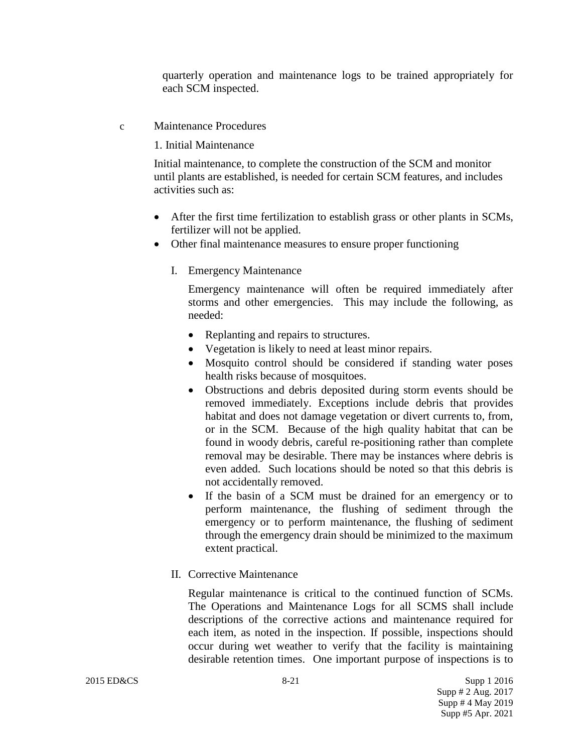quarterly operation and maintenance logs to be trained appropriately for each SCM inspected.

c Maintenance Procedures

#### 1. Initial Maintenance

Initial maintenance, to complete the construction of the SCM and monitor until plants are established, is needed for certain SCM features, and includes activities such as:

- After the first time fertilization to establish grass or other plants in SCMs, fertilizer will not be applied.
- Other final maintenance measures to ensure proper functioning
	- I. Emergency Maintenance

Emergency maintenance will often be required immediately after storms and other emergencies. This may include the following, as needed:

- Replanting and repairs to structures.
- Vegetation is likely to need at least minor repairs.
- Mosquito control should be considered if standing water poses health risks because of mosquitoes.
- Obstructions and debris deposited during storm events should be removed immediately. Exceptions include debris that provides habitat and does not damage vegetation or divert currents to, from, or in the SCM. Because of the high quality habitat that can be found in woody debris, careful re-positioning rather than complete removal may be desirable. There may be instances where debris is even added. Such locations should be noted so that this debris is not accidentally removed.
- If the basin of a SCM must be drained for an emergency or to perform maintenance, the flushing of sediment through the emergency or to perform maintenance, the flushing of sediment through the emergency drain should be minimized to the maximum extent practical.
- II. Corrective Maintenance

Regular maintenance is critical to the continued function of SCMs. The Operations and Maintenance Logs for all SCMS shall include descriptions of the corrective actions and maintenance required for each item, as noted in the inspection. If possible, inspections should occur during wet weather to verify that the facility is maintaining desirable retention times. One important purpose of inspections is to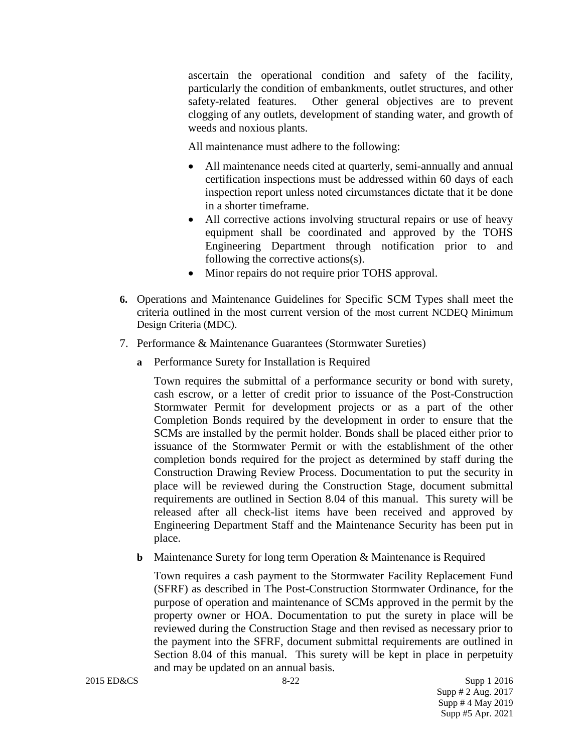ascertain the operational condition and safety of the facility, particularly the condition of embankments, outlet structures, and other safety-related features. Other general objectives are to prevent clogging of any outlets, development of standing water, and growth of weeds and noxious plants.

All maintenance must adhere to the following:

- All maintenance needs cited at quarterly, semi-annually and annual certification inspections must be addressed within 60 days of each inspection report unless noted circumstances dictate that it be done in a shorter timeframe.
- All corrective actions involving structural repairs or use of heavy equipment shall be coordinated and approved by the TOHS Engineering Department through notification prior to and following the corrective actions(s).
- Minor repairs do not require prior TOHS approval.
- **6.** Operations and Maintenance Guidelines for Specific SCM Types shall meet the criteria outlined in the most current version of the most current NCDEQ Minimum Design Criteria (MDC).
- 7. Performance & Maintenance Guarantees (Stormwater Sureties)
	- **a** Performance Surety for Installation is Required

Town requires the submittal of a performance security or bond with surety, cash escrow, or a letter of credit prior to issuance of the Post-Construction Stormwater Permit for development projects or as a part of the other Completion Bonds required by the development in order to ensure that the SCMs are installed by the permit holder. Bonds shall be placed either prior to issuance of the Stormwater Permit or with the establishment of the other completion bonds required for the project as determined by staff during the Construction Drawing Review Process. Documentation to put the security in place will be reviewed during the Construction Stage, document submittal requirements are outlined in Section 8.04 of this manual. This surety will be released after all check-list items have been received and approved by Engineering Department Staff and the Maintenance Security has been put in place.

**b** Maintenance Surety for long term Operation & Maintenance is Required

Town requires a cash payment to the Stormwater Facility Replacement Fund (SFRF) as described in The Post-Construction Stormwater Ordinance, for the purpose of operation and maintenance of SCMs approved in the permit by the property owner or HOA. Documentation to put the surety in place will be reviewed during the Construction Stage and then revised as necessary prior to the payment into the SFRF, document submittal requirements are outlined in Section 8.04 of this manual. This surety will be kept in place in perpetuity and may be updated on an annual basis.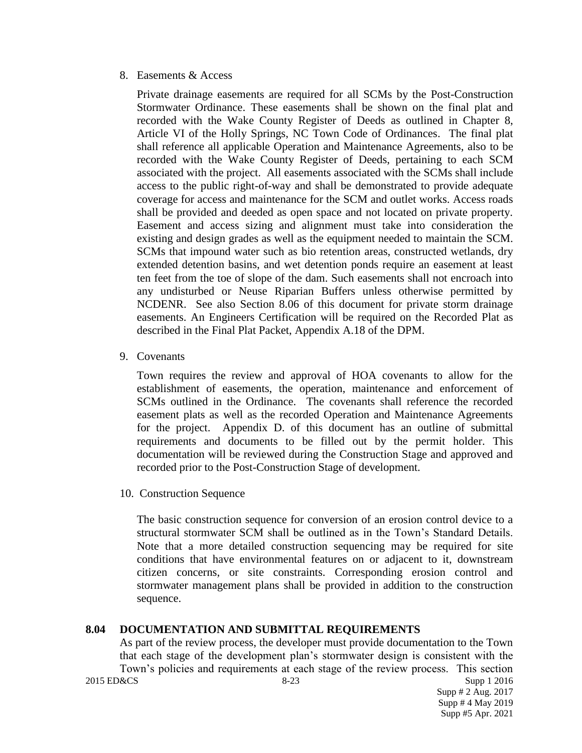#### 8. Easements & Access

Private drainage easements are required for all SCMs by the Post-Construction Stormwater Ordinance. These easements shall be shown on the final plat and recorded with the Wake County Register of Deeds as outlined in Chapter 8, Article VI of the Holly Springs, NC Town Code of Ordinances. The final plat shall reference all applicable Operation and Maintenance Agreements, also to be recorded with the Wake County Register of Deeds, pertaining to each SCM associated with the project. All easements associated with the SCMs shall include access to the public right-of-way and shall be demonstrated to provide adequate coverage for access and maintenance for the SCM and outlet works. Access roads shall be provided and deeded as open space and not located on private property. Easement and access sizing and alignment must take into consideration the existing and design grades as well as the equipment needed to maintain the SCM. SCMs that impound water such as bio retention areas, constructed wetlands, dry extended detention basins, and wet detention ponds require an easement at least ten feet from the toe of slope of the dam. Such easements shall not encroach into any undisturbed or Neuse Riparian Buffers unless otherwise permitted by NCDENR. See also Section 8.06 of this document for private storm drainage easements. An Engineers Certification will be required on the Recorded Plat as described in the Final Plat Packet, Appendix A.18 of the DPM.

9. Covenants

Town requires the review and approval of HOA covenants to allow for the establishment of easements, the operation, maintenance and enforcement of SCMs outlined in the Ordinance. The covenants shall reference the recorded easement plats as well as the recorded Operation and Maintenance Agreements for the project. Appendix D. of this document has an outline of submittal requirements and documents to be filled out by the permit holder. This documentation will be reviewed during the Construction Stage and approved and recorded prior to the Post-Construction Stage of development.

10. Construction Sequence

The basic construction sequence for conversion of an erosion control device to a structural stormwater SCM shall be outlined as in the Town's Standard Details. Note that a more detailed construction sequencing may be required for site conditions that have environmental features on or adjacent to it, downstream citizen concerns, or site constraints. Corresponding erosion control and stormwater management plans shall be provided in addition to the construction sequence.

## **8.04 DOCUMENTATION AND SUBMITTAL REQUIREMENTS**

2015 ED&CS Supp 1 2016 As part of the review process, the developer must provide documentation to the Town that each stage of the development plan's stormwater design is consistent with the Town's policies and requirements at each stage of the review process. This section<br>2015 ED&CS<br>Supp 1 2016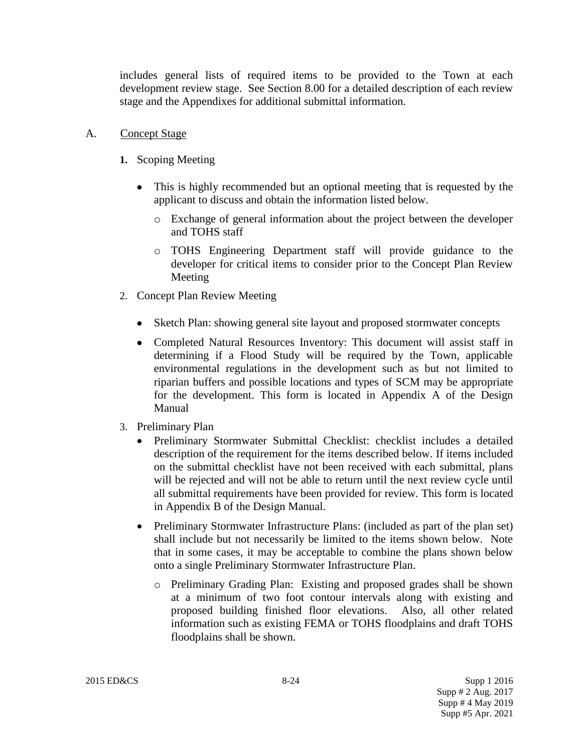includes general lists of required items to be provided to the Town at each development review stage. See Section 8.00 for a detailed description of each review stage and the Appendixes for additional submittal information.

- A. Concept Stage
	- **1.** Scoping Meeting
		- This is highly recommended but an optional meeting that is requested by the applicant to discuss and obtain the information listed below.
			- o Exchange of general information about the project between the developer and TOHS staff
			- o TOHS Engineering Department staff will provide guidance to the developer for critical items to consider prior to the Concept Plan Review Meeting
	- 2. Concept Plan Review Meeting
		- Sketch Plan: showing general site layout and proposed stormwater concepts
		- Completed Natural Resources Inventory: This document will assist staff in determining if a Flood Study will be required by the Town, applicable environmental regulations in the development such as but not limited to riparian buffers and possible locations and types of SCM may be appropriate for the development. This form is located in Appendix A of the Design Manual
	- 3. Preliminary Plan
		- Preliminary Stormwater Submittal Checklist: checklist includes a detailed description of the requirement for the items described below. If items included on the submittal checklist have not been received with each submittal, plans will be rejected and will not be able to return until the next review cycle until all submittal requirements have been provided for review. This form is located in Appendix B of the Design Manual.
		- Preliminary Stormwater Infrastructure Plans: (included as part of the plan set) shall include but not necessarily be limited to the items shown below. Note that in some cases, it may be acceptable to combine the plans shown below onto a single Preliminary Stormwater Infrastructure Plan.
			- o Preliminary Grading Plan: Existing and proposed grades shall be shown at a minimum of two foot contour intervals along with existing and proposed building finished floor elevations. Also, all other related information such as existing FEMA or TOHS floodplains and draft TOHS floodplains shall be shown.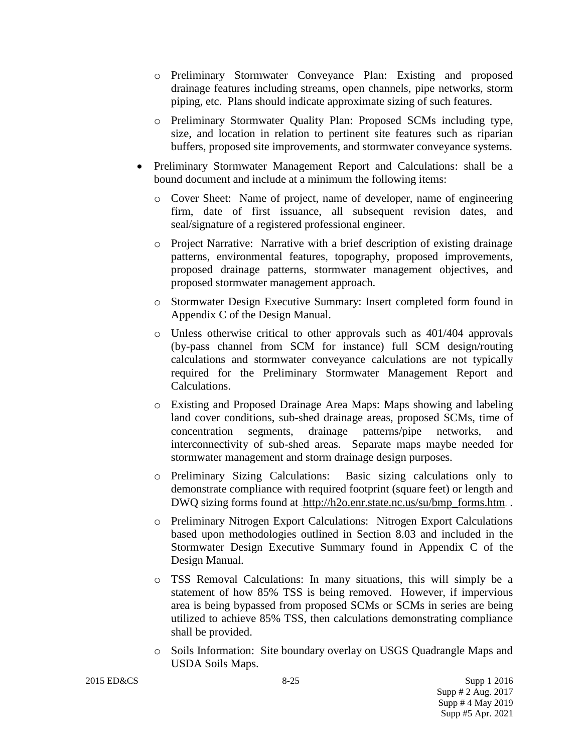- o Preliminary Stormwater Conveyance Plan: Existing and proposed drainage features including streams, open channels, pipe networks, storm piping, etc. Plans should indicate approximate sizing of such features.
- o Preliminary Stormwater Quality Plan: Proposed SCMs including type, size, and location in relation to pertinent site features such as riparian buffers, proposed site improvements, and stormwater conveyance systems.
- Preliminary Stormwater Management Report and Calculations: shall be a bound document and include at a minimum the following items:
	- o Cover Sheet: Name of project, name of developer, name of engineering firm, date of first issuance, all subsequent revision dates, and seal/signature of a registered professional engineer.
	- o Project Narrative: Narrative with a brief description of existing drainage patterns, environmental features, topography, proposed improvements, proposed drainage patterns, stormwater management objectives, and proposed stormwater management approach.
	- o Stormwater Design Executive Summary: Insert completed form found in Appendix C of the Design Manual.
	- $\circ$  Unless otherwise critical to other approvals such as 401/404 approvals (by-pass channel from SCM for instance) full SCM design/routing calculations and stormwater conveyance calculations are not typically required for the Preliminary Stormwater Management Report and Calculations.
	- o Existing and Proposed Drainage Area Maps: Maps showing and labeling land cover conditions, sub-shed drainage areas, proposed SCMs, time of concentration segments, drainage patterns/pipe networks, and interconnectivity of sub-shed areas. Separate maps maybe needed for stormwater management and storm drainage design purposes.
	- o Preliminary Sizing Calculations: Basic sizing calculations only to demonstrate compliance with required footprint (square feet) or length and DWQ sizing forms found at [http://h2o.enr.state.nc.us/su/bmp\\_forms.htm](http://h2o.enr.state.nc.us/su/bmp_forms.htm).
	- o Preliminary Nitrogen Export Calculations: Nitrogen Export Calculations based upon methodologies outlined in Section 8.03 and included in the Stormwater Design Executive Summary found in Appendix C of the Design Manual.
	- o TSS Removal Calculations: In many situations, this will simply be a statement of how 85% TSS is being removed. However, if impervious area is being bypassed from proposed SCMs or SCMs in series are being utilized to achieve 85% TSS, then calculations demonstrating compliance shall be provided.
	- o Soils Information: Site boundary overlay on USGS Quadrangle Maps and USDA Soils Maps.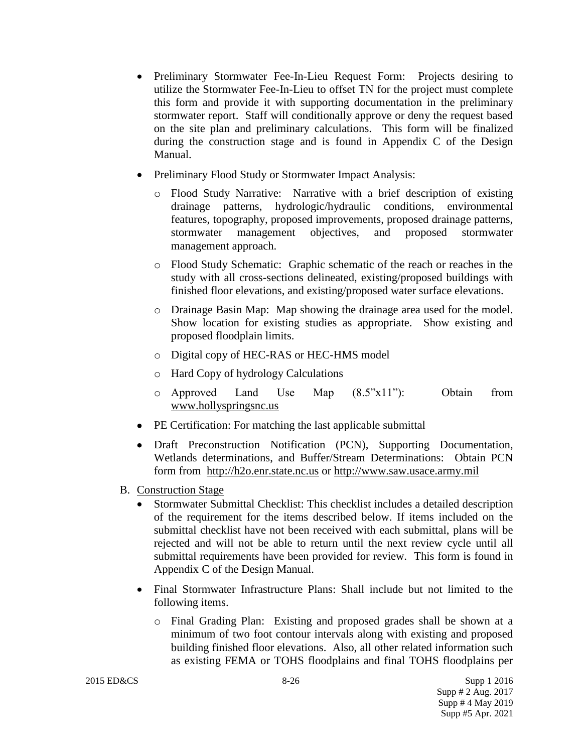- Preliminary Stormwater Fee-In-Lieu Request Form: Projects desiring to utilize the Stormwater Fee-In-Lieu to offset TN for the project must complete this form and provide it with supporting documentation in the preliminary stormwater report. Staff will conditionally approve or deny the request based on the site plan and preliminary calculations. This form will be finalized during the construction stage and is found in Appendix C of the Design Manual.
- Preliminary Flood Study or Stormwater Impact Analysis:
	- o Flood Study Narrative: Narrative with a brief description of existing drainage patterns, hydrologic/hydraulic conditions, environmental features, topography, proposed improvements, proposed drainage patterns, stormwater management objectives, and proposed stormwater management approach.
	- o Flood Study Schematic: Graphic schematic of the reach or reaches in the study with all cross-sections delineated, existing/proposed buildings with finished floor elevations, and existing/proposed water surface elevations.
	- o Drainage Basin Map: Map showing the drainage area used for the model. Show location for existing studies as appropriate. Show existing and proposed floodplain limits.
	- o Digital copy of HEC-RAS or HEC-HMS model
	- o Hard Copy of hydrology Calculations
	- $\circ$  Approved Land Use Map  $(8.5"x11")$ : Obtain from [www.hollyspringsnc.us](http://www.hollyspringsnc.us/)
- PE Certification: For matching the last applicable submittal
- Draft Preconstruction Notification (PCN), Supporting Documentation, Wetlands determinations, and Buffer/Stream Determinations: Obtain PCN form from [http://h2o.enr.state.nc.us](http://h2o.enr.state.nc.us/) or [http://www.saw.usace.army.mil](http://www.saw.usace.army.mil/)
- B. Construction Stage
	- Stormwater Submittal Checklist: This checklist includes a detailed description of the requirement for the items described below. If items included on the submittal checklist have not been received with each submittal, plans will be rejected and will not be able to return until the next review cycle until all submittal requirements have been provided for review. This form is found in Appendix C of the Design Manual.
	- Final Stormwater Infrastructure Plans: Shall include but not limited to the following items.
		- o Final Grading Plan: Existing and proposed grades shall be shown at a minimum of two foot contour intervals along with existing and proposed building finished floor elevations. Also, all other related information such as existing FEMA or TOHS floodplains and final TOHS floodplains per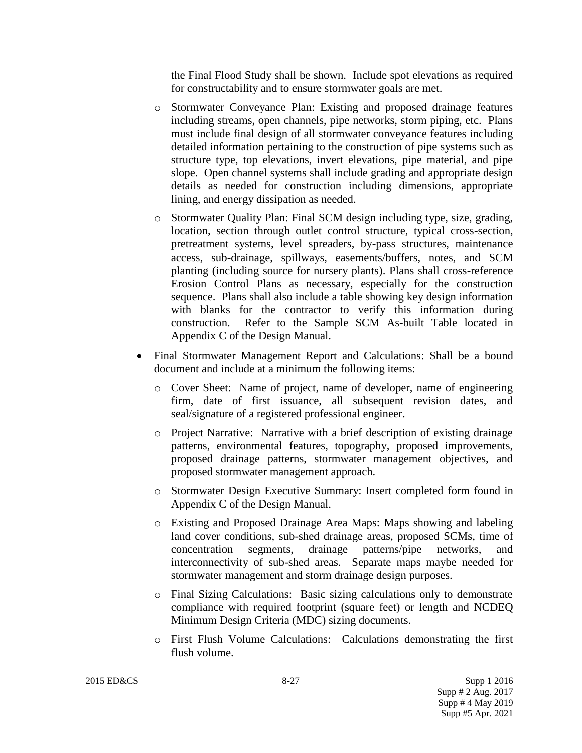the Final Flood Study shall be shown. Include spot elevations as required for constructability and to ensure stormwater goals are met.

- o Stormwater Conveyance Plan: Existing and proposed drainage features including streams, open channels, pipe networks, storm piping, etc. Plans must include final design of all stormwater conveyance features including detailed information pertaining to the construction of pipe systems such as structure type, top elevations, invert elevations, pipe material, and pipe slope. Open channel systems shall include grading and appropriate design details as needed for construction including dimensions, appropriate lining, and energy dissipation as needed.
- o Stormwater Quality Plan: Final SCM design including type, size, grading, location, section through outlet control structure, typical cross-section, pretreatment systems, level spreaders, by-pass structures, maintenance access, sub-drainage, spillways, easements/buffers, notes, and SCM planting (including source for nursery plants). Plans shall cross-reference Erosion Control Plans as necessary, especially for the construction sequence. Plans shall also include a table showing key design information with blanks for the contractor to verify this information during construction. Refer to the Sample SCM As-built Table located in Appendix C of the Design Manual.
- Final Stormwater Management Report and Calculations: Shall be a bound document and include at a minimum the following items:
	- o Cover Sheet: Name of project, name of developer, name of engineering firm, date of first issuance, all subsequent revision dates, and seal/signature of a registered professional engineer.
	- o Project Narrative: Narrative with a brief description of existing drainage patterns, environmental features, topography, proposed improvements, proposed drainage patterns, stormwater management objectives, and proposed stormwater management approach.
	- o Stormwater Design Executive Summary: Insert completed form found in Appendix C of the Design Manual.
	- o Existing and Proposed Drainage Area Maps: Maps showing and labeling land cover conditions, sub-shed drainage areas, proposed SCMs, time of concentration segments, drainage patterns/pipe networks, and interconnectivity of sub-shed areas. Separate maps maybe needed for stormwater management and storm drainage design purposes.
	- o Final Sizing Calculations: Basic sizing calculations only to demonstrate compliance with required footprint (square feet) or length and NCDEQ Minimum Design Criteria (MDC) sizing documents.
	- o First Flush Volume Calculations: Calculations demonstrating the first flush volume.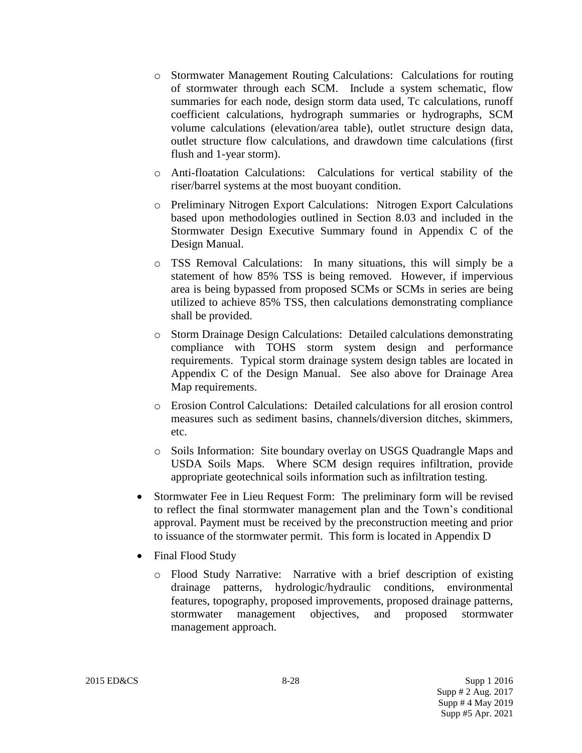- o Stormwater Management Routing Calculations: Calculations for routing of stormwater through each SCM. Include a system schematic, flow summaries for each node, design storm data used, Tc calculations, runoff coefficient calculations, hydrograph summaries or hydrographs, SCM volume calculations (elevation/area table), outlet structure design data, outlet structure flow calculations, and drawdown time calculations (first flush and 1-year storm).
- o Anti-floatation Calculations: Calculations for vertical stability of the riser/barrel systems at the most buoyant condition.
- o Preliminary Nitrogen Export Calculations: Nitrogen Export Calculations based upon methodologies outlined in Section 8.03 and included in the Stormwater Design Executive Summary found in Appendix C of the Design Manual.
- o TSS Removal Calculations: In many situations, this will simply be a statement of how 85% TSS is being removed. However, if impervious area is being bypassed from proposed SCMs or SCMs in series are being utilized to achieve 85% TSS, then calculations demonstrating compliance shall be provided.
- o Storm Drainage Design Calculations: Detailed calculations demonstrating compliance with TOHS storm system design and performance requirements. Typical storm drainage system design tables are located in Appendix C of the Design Manual. See also above for Drainage Area Map requirements.
- o Erosion Control Calculations: Detailed calculations for all erosion control measures such as sediment basins, channels/diversion ditches, skimmers, etc.
- o Soils Information: Site boundary overlay on USGS Quadrangle Maps and USDA Soils Maps. Where SCM design requires infiltration, provide appropriate geotechnical soils information such as infiltration testing.
- Stormwater Fee in Lieu Request Form: The preliminary form will be revised to reflect the final stormwater management plan and the Town's conditional approval. Payment must be received by the preconstruction meeting and prior to issuance of the stormwater permit. This form is located in Appendix D
- Final Flood Study
	- o Flood Study Narrative: Narrative with a brief description of existing drainage patterns, hydrologic/hydraulic conditions, environmental features, topography, proposed improvements, proposed drainage patterns, stormwater management objectives, and proposed stormwater management approach.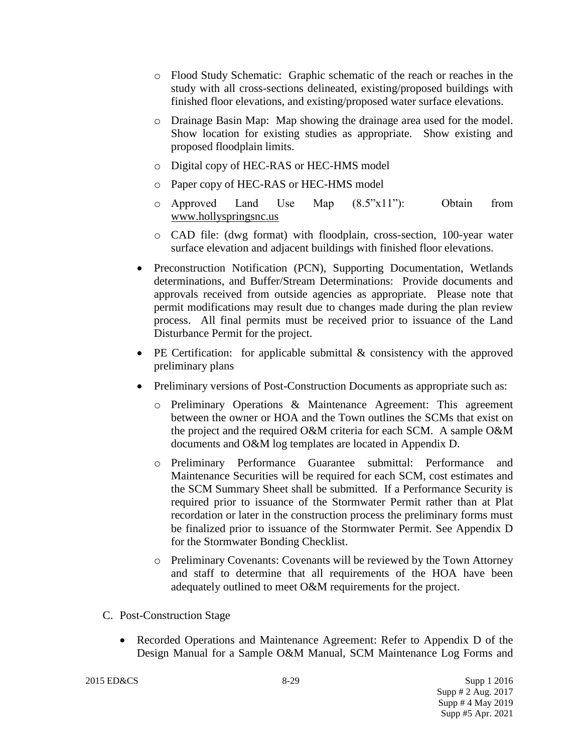- o Flood Study Schematic: Graphic schematic of the reach or reaches in the study with all cross-sections delineated, existing/proposed buildings with finished floor elevations, and existing/proposed water surface elevations.
- o Drainage Basin Map: Map showing the drainage area used for the model. Show location for existing studies as appropriate. Show existing and proposed floodplain limits.
- o Digital copy of HEC-RAS or HEC-HMS model
- o Paper copy of HEC-RAS or HEC-HMS model
- o Approved Land Use Map (8.5"x11"): Obtain from [www.hollyspringsnc.us](http://www.hollyspringsnc.us/)
- o CAD file: (dwg format) with floodplain, cross-section, 100-year water surface elevation and adjacent buildings with finished floor elevations.
- Preconstruction Notification (PCN), Supporting Documentation, Wetlands determinations, and Buffer/Stream Determinations: Provide documents and approvals received from outside agencies as appropriate. Please note that permit modifications may result due to changes made during the plan review process. All final permits must be received prior to issuance of the Land Disturbance Permit for the project.
- PE Certification: for applicable submittal & consistency with the approved preliminary plans
- Preliminary versions of Post-Construction Documents as appropriate such as:
	- o Preliminary Operations & Maintenance Agreement: This agreement between the owner or HOA and the Town outlines the SCMs that exist on the project and the required O&M criteria for each SCM. A sample O&M documents and O&M log templates are located in Appendix D.
	- o Preliminary Performance Guarantee submittal: Performance and Maintenance Securities will be required for each SCM, cost estimates and the SCM Summary Sheet shall be submitted. If a Performance Security is required prior to issuance of the Stormwater Permit rather than at Plat recordation or later in the construction process the preliminary forms must be finalized prior to issuance of the Stormwater Permit. See Appendix D for the Stormwater Bonding Checklist.
	- o Preliminary Covenants: Covenants will be reviewed by the Town Attorney and staff to determine that all requirements of the HOA have been adequately outlined to meet O&M requirements for the project.

## C. Post-Construction Stage

• Recorded Operations and Maintenance Agreement: Refer to Appendix D of the Design Manual for a Sample O&M Manual, SCM Maintenance Log Forms and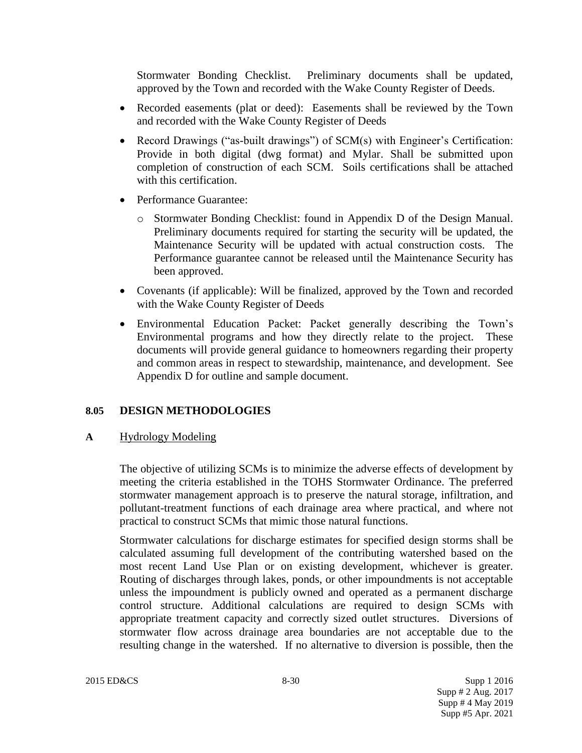Stormwater Bonding Checklist. Preliminary documents shall be updated, approved by the Town and recorded with the Wake County Register of Deeds.

- Recorded easements (plat or deed): Easements shall be reviewed by the Town and recorded with the Wake County Register of Deeds
- Record Drawings ("as-built drawings") of SCM(s) with Engineer's Certification: Provide in both digital (dwg format) and Mylar. Shall be submitted upon completion of construction of each SCM. Soils certifications shall be attached with this certification.
- Performance Guarantee:
	- o Stormwater Bonding Checklist: found in Appendix D of the Design Manual. Preliminary documents required for starting the security will be updated, the Maintenance Security will be updated with actual construction costs. The Performance guarantee cannot be released until the Maintenance Security has been approved.
- Covenants (if applicable): Will be finalized, approved by the Town and recorded with the Wake County Register of Deeds
- Environmental Education Packet: Packet generally describing the Town's Environmental programs and how they directly relate to the project. These documents will provide general guidance to homeowners regarding their property and common areas in respect to stewardship, maintenance, and development. See Appendix D for outline and sample document.

## **8.05 DESIGN METHODOLOGIES**

## **A** Hydrology Modeling

The objective of utilizing SCMs is to minimize the adverse effects of development by meeting the criteria established in the TOHS Stormwater Ordinance. The preferred stormwater management approach is to preserve the natural storage, infiltration, and pollutant-treatment functions of each drainage area where practical, and where not practical to construct SCMs that mimic those natural functions.

Stormwater calculations for discharge estimates for specified design storms shall be calculated assuming full development of the contributing watershed based on the most recent Land Use Plan or on existing development, whichever is greater. Routing of discharges through lakes, ponds, or other impoundments is not acceptable unless the impoundment is publicly owned and operated as a permanent discharge control structure. Additional calculations are required to design SCMs with appropriate treatment capacity and correctly sized outlet structures. Diversions of stormwater flow across drainage area boundaries are not acceptable due to the resulting change in the watershed. If no alternative to diversion is possible, then the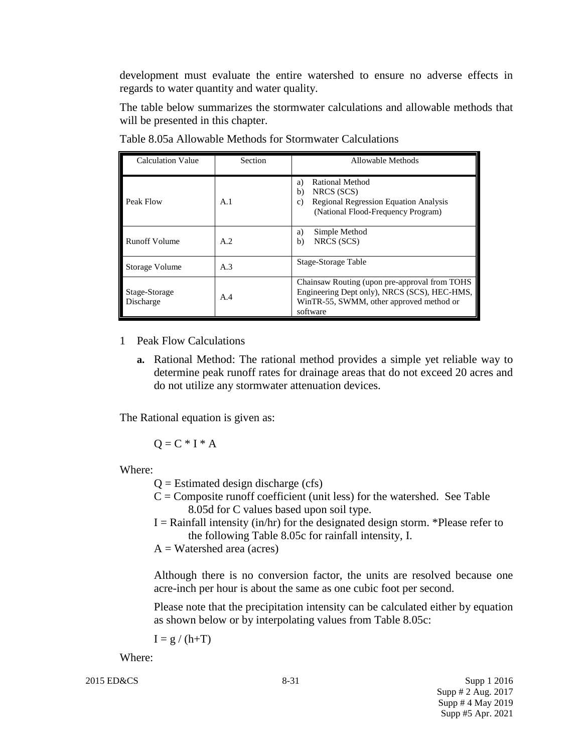development must evaluate the entire watershed to ensure no adverse effects in regards to water quantity and water quality.

The table below summarizes the stormwater calculations and allowable methods that will be presented in this chapter.

| <b>Calculation Value</b>   | Section | Allowable Methods                                                                                                                                     |
|----------------------------|---------|-------------------------------------------------------------------------------------------------------------------------------------------------------|
| Peak Flow                  | A.1     | <b>Rational Method</b><br>a)<br>NRCS (SCS)<br>b)<br><b>Regional Regression Equation Analysis</b><br>c)<br>(National Flood-Frequency Program)          |
| <b>Runoff Volume</b>       | A.2     | Simple Method<br>a)<br>NRCS (SCS)<br>b)                                                                                                               |
| Storage Volume             | A.3     | Stage-Storage Table                                                                                                                                   |
| Stage-Storage<br>Discharge | A.4     | Chainsaw Routing (upon pre-approval from TOHS<br>Engineering Dept only), NRCS (SCS), HEC-HMS,<br>WinTR-55, SWMM, other approved method or<br>software |

Table 8.05a Allowable Methods for Stormwater Calculations

1 Peak Flow Calculations

**a.** Rational Method: The rational method provides a simple yet reliable way to determine peak runoff rates for drainage areas that do not exceed 20 acres and do not utilize any stormwater attenuation devices.

The Rational equation is given as:

 $Q = C * I * A$ 

Where:

 $Q =$  Estimated design discharge (cfs)

- $C =$ Composite runoff coefficient (unit less) for the watershed. See Table 8.05d for C values based upon soil type.
- $I =$  Rainfall intensity (in/hr) for the designated design storm. \*Please refer to the following Table 8.05c for rainfall intensity, I.

 $A = W \text{atershed area (acres)}$ 

Although there is no conversion factor, the units are resolved because one acre-inch per hour is about the same as one cubic foot per second.

Please note that the precipitation intensity can be calculated either by equation as shown below or by interpolating values from Table 8.05c:

 $I = g / (h+T)$ 

Where: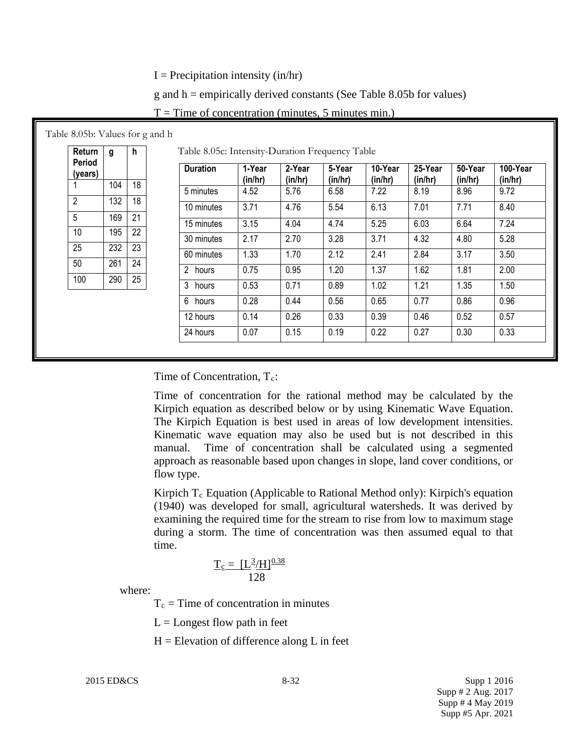$I = Precipitation intensity (in/hr)$ 

 $g$  and h = empirically derived constants (See Table 8.05b for values)

| Return            | g   | h  | Table 8.05c: Intensity-Duration Frequency Table |                   |                   |                   |                    |                    |                    |                     |
|-------------------|-----|----|-------------------------------------------------|-------------------|-------------------|-------------------|--------------------|--------------------|--------------------|---------------------|
| Period<br>(years) |     |    | <b>Duration</b>                                 | 1-Year<br>(in/hr) | 2-Year<br>(in/hr) | 5-Year<br>(in/hr) | 10-Year<br>(in/hr) | 25-Year<br>(in/hr) | 50-Year<br>(in/hr) | 100-Year<br>(in/hr) |
|                   | 104 | 18 | 5 minutes                                       | 4.52              | 5.76              | 6.58              | 7.22               | 8.19               | 8.96               | 9.72                |
| $\overline{2}$    | 132 | 18 | 10 minutes                                      | 3.71              | 4.76              | 5.54              | 6.13               | 7.01               | 7.71               | 8.40                |
| 5                 | 169 | 21 |                                                 | 3.15              | 4.04              | 4.74              | 5.25               | 6.03               | 6.64               | 7.24                |
| 10                | 195 | 22 | 15 minutes                                      |                   |                   |                   |                    |                    |                    |                     |
| 25                | 232 | 23 | 30 minutes                                      | 2.17              | 2.70              | 3.28              | 3.71               | 4.32               | 4.80               | 5.28                |
|                   |     |    | 60 minutes                                      | 1.33              | 1.70              | 2.12              | 2.41               | 2.84               | 3.17               | 3.50                |
| 50                | 261 | 24 | 2 hours                                         | 0.75              | 0.95              | 1.20              | 1.37               | 1.62               | 1.81               | 2.00                |
| 100               | 290 | 25 | 3<br>hours                                      | 0.53              | 0.71              | 0.89              | 1.02               | 1.21               | 1.35               | 1.50                |
|                   |     |    | 6 hours                                         | 0.28              | 0.44              | 0.56              | 0.65               | 0.77               | 0.86               | 0.96                |
|                   |     |    | 12 hours                                        | 0.14              | 0.26              | 0.33              | 0.39               | 0.46               | 0.52               | 0.57                |
|                   |     |    | 24 hours                                        | 0.07              | 0.15              | 0.19              | 0.22               | 0.27               | 0.30               | 0.33                |

| $T =$ Time of concentration (minutes, 5 minutes min.) |  |
|-------------------------------------------------------|--|
|-------------------------------------------------------|--|

Time of Concentration,  $T_c$ :

Time of concentration for the rational method may be calculated by the Kirpich equation as described below or by using Kinematic Wave Equation. The Kirpich Equation is best used in areas of low development intensities. Kinematic wave equation may also be used but is not described in this manual. Time of concentration shall be calculated using a segmented approach as reasonable based upon changes in slope, land cover conditions, or flow type.

Kirpich  $T_c$  Equation (Applicable to Rational Method only): Kirpich's equation (1940) was developed for small, agricultural watersheds. It was derived by examining the required time for the stream to rise from low to maximum stage during a storm. The time of concentration was then assumed equal to that time.

$$
\frac{T_c = [L^3/H]^{0.38}}{128}
$$

where:

 $T_c$  = Time of concentration in minutes

 $L =$ Longest flow path in feet

 $H =$  Elevation of difference along L in feet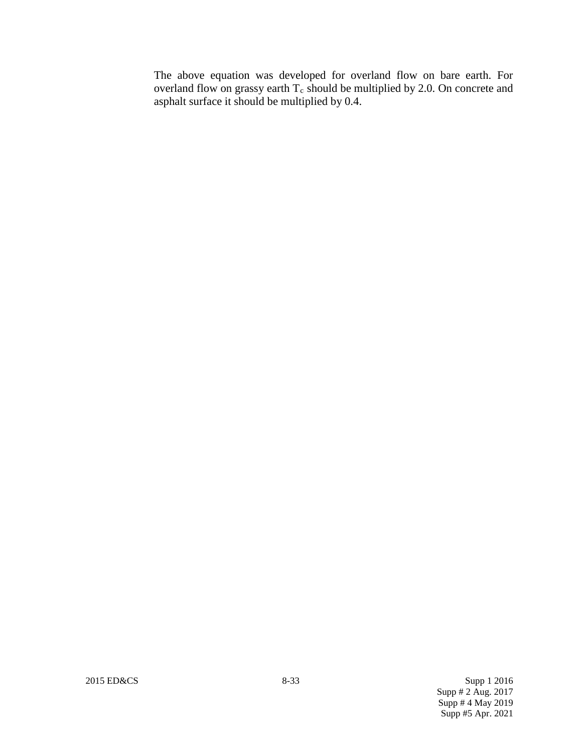The above equation was developed for overland flow on bare earth. For overland flow on grassy earth  $T_c$  should be multiplied by 2.0. On concrete and asphalt surface it should be multiplied by 0.4.

2015 ED&CS 8-33 Supp 1 2016 Supp # 2 Aug. 2017 Supp # 4 May 2019 Supp #5 Apr. 2021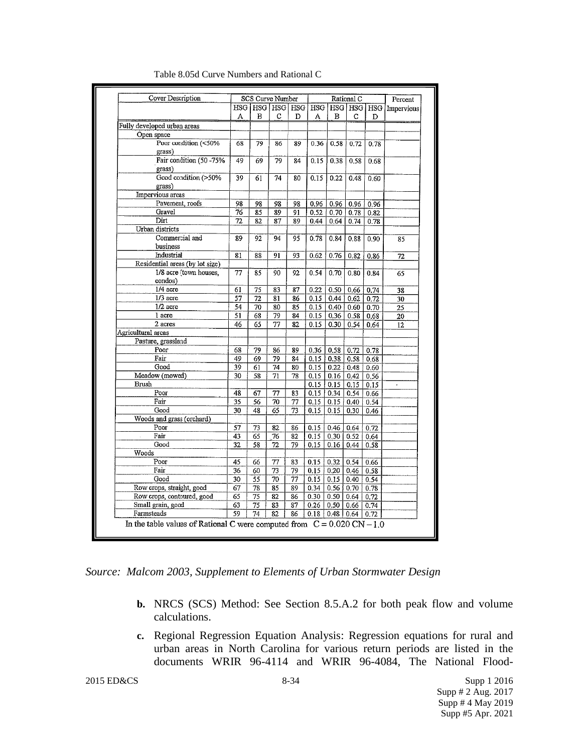| Cover Description               |                 |                 | <b>SCS Curve Number</b> |    |               |                   | Rational C |      | Percent                                                    |
|---------------------------------|-----------------|-----------------|-------------------------|----|---------------|-------------------|------------|------|------------------------------------------------------------|
|                                 |                 |                 |                         |    |               |                   |            |      | HSG   HSG   HSG   HSG   HSG   HSG   HSG   HSG   Impervious |
|                                 | А               | в               | с                       | D  | A             | в                 | с          | D    |                                                            |
| Fully developed urban areas     |                 |                 |                         |    |               |                   |            |      |                                                            |
| Open space                      |                 |                 |                         |    |               |                   |            |      |                                                            |
| Poor condition (<50%<br>grass)  | 68              | 79              | 86                      | 89 | 0.36          | 0.58              | 0.72       | 0.78 |                                                            |
| Fair condition (50 -75%         | 49              |                 |                         |    |               |                   |            |      |                                                            |
|                                 |                 | 69              | 79                      | 84 | 0.15          | 0.38              | 0.58       | 0.68 |                                                            |
| grass)<br>Good condition (>50%  | 39              |                 | 74                      |    |               |                   |            |      |                                                            |
| grass)                          |                 | 61              |                         | 80 | 0.15          | 0.22              | 0.48       | 0.60 |                                                            |
| Impervious areas                |                 |                 |                         |    |               |                   |            |      |                                                            |
| Pavement, roofs                 |                 |                 |                         |    |               |                   |            |      |                                                            |
| Gravel                          | 98              | 98              | 98                      | 98 | 0.96          | 0.96              | 0.96       | 0.96 |                                                            |
| Dirt                            | 76              | 85              | 89                      | 91 | 0.52          | 0.70              | 0.78       | 0.82 |                                                            |
|                                 | 72              | 82              | 87                      | 89 | 0.44          | 0.64              | 0.74       | 0.78 |                                                            |
| Urban districts                 |                 |                 |                         |    |               |                   |            |      |                                                            |
| Commercial and                  | 89              | 92              | 94                      | 95 | 0.78          | 0.84              | 0.88       | 0.90 | 85                                                         |
| business                        |                 |                 |                         |    |               |                   |            |      |                                                            |
| Industrial                      | 81              | 88              | 91                      | 93 | 0.62          | 0.76              | 0.82       | 0.86 | 72                                                         |
| Residential areas (by lot size) |                 |                 |                         |    |               |                   |            |      |                                                            |
| 1/8 acre (town houses,          | 77              | 85              | 90                      | 92 | 0.54          | 0.70              | 0.80       | 0.84 | 65                                                         |
| condos)                         |                 |                 |                         |    |               |                   |            |      |                                                            |
| 1/4 acre                        | 61              | 75              | 83                      | 87 | 0.22          | 0.50 <sub>1</sub> | 0.66       | 0.74 | 38                                                         |
| $1/3$ acre                      | 57              | 72              | 81                      | 86 | 0.15          | 0.44              | 0.62       | 0.72 | 30                                                         |
| $1/2$ acre                      | 54              | 70              | 80                      | 85 | 0.15          | 0.40              | 0.60       | 0.70 | $\overline{25}$                                            |
| 1 acre                          | 51              | 68              | 79                      | 84 | 0.15          | 0,36              | 0.58       | 0.68 | 20                                                         |
| 2 acres                         | 46              | 65              | 77                      | 82 | 0.15          | 0.30              | 0.54       | 0.64 | 12                                                         |
| Agricultural arcas              |                 |                 |                         |    |               |                   |            |      |                                                            |
| Pasture, grassland              |                 |                 |                         |    |               |                   |            |      |                                                            |
| Poor                            | 68              | 79              | 86                      | 89 | 0.36          | 0.58              | 0.72       | 0.78 |                                                            |
| Fair                            | 49              | 69              | 79                      | 84 | 0.15          | 0.38              | 0.58       | 0.68 |                                                            |
| Good                            | 39              | 61              | 74                      | 80 | 0.15          | 0.22              | 0.48       | 0.60 |                                                            |
| Meadow (mowed)                  | 30              | 58              | 71                      | 78 | 0.15          | 0.16              | 0.42       | 0.56 |                                                            |
| Brush                           |                 |                 |                         |    | 0.15          | 0.15              | 0.15       | 0.15 | ä,                                                         |
| Poor                            | 48              | 67              | 77                      | 83 | 0.15          | 0.34              | 0.54       | 0.66 |                                                            |
| Fair                            | $\overline{35}$ | 56              | 70                      | 77 | 0.15          | 0.15              | 0.40       | 0.54 |                                                            |
| Good                            | 30              | 48              | 65                      | 73 | 0.15          | 0.15              | 0.30       | 0.46 |                                                            |
| Woods and grass (orchard)       |                 |                 |                         |    |               |                   |            |      |                                                            |
| Poor                            | 57              | 73              | 82                      | 86 | 0.15          | 0.46              | 0.64       | 0.72 |                                                            |
| Fair                            | 43              | $\overline{65}$ | 76                      | 82 | 0.15          | 0.30              | 0.52       | 0.64 |                                                            |
| Good                            | 32              | 58              | 72                      | 79 | 0.15          | 0.16              | 0.44       | 0.58 |                                                            |
| Woods                           |                 |                 |                         |    |               |                   |            |      |                                                            |
| Poor                            | 45              | 66              | 77                      | 83 | 0.15          | 0.32              | 0.54       | 0.66 |                                                            |
| Fair                            | 36              | 60              | 73                      | 79 | 0.15          | 0.20              | 0.46       | 0.58 |                                                            |
| Good                            | 30              | $\overline{55}$ | $\overline{70}$         | 77 | 0.15          | 0.15              | 0.40       | 0.54 |                                                            |
| Row crops, straight, good       | 67              | 78              | 85                      | 89 | 0.34          | 0.56              | 0.70       | 0.78 |                                                            |
| Row crops, contoured, good      | 65              | $\overline{75}$ | 82                      | 86 | 0.30          | 0.50              | 0.64       | 0.72 |                                                            |
| Small grain, good               | 63              | $\overline{75}$ | 83                      | 87 | 0.26          | 0,50              | 0.66       | 0.74 |                                                            |
| Farmsteads                      | 59              | 74              | 82                      | 86 | $0.18$   0.48 |                   | 0.64       | 0.72 |                                                            |

Table 8.05d Curve Numbers and Rational C

*Source: Malcom 2003, Supplement to Elements of Urban Stormwater Design*

- **b.** NRCS (SCS) Method: See Section 8.5.A.2 for both peak flow and volume calculations.
- **c.** Regional Regression Equation Analysis: Regression equations for rural and urban areas in North Carolina for various return periods are listed in the documents WRIR 96-4114 and WRIR 96-4084, The National Flood-

2015 ED&CS 8-34 Supp 1 2016 Supp # 2 Aug. 2017 Supp # 4 May 2019 Supp #5 Apr. 2021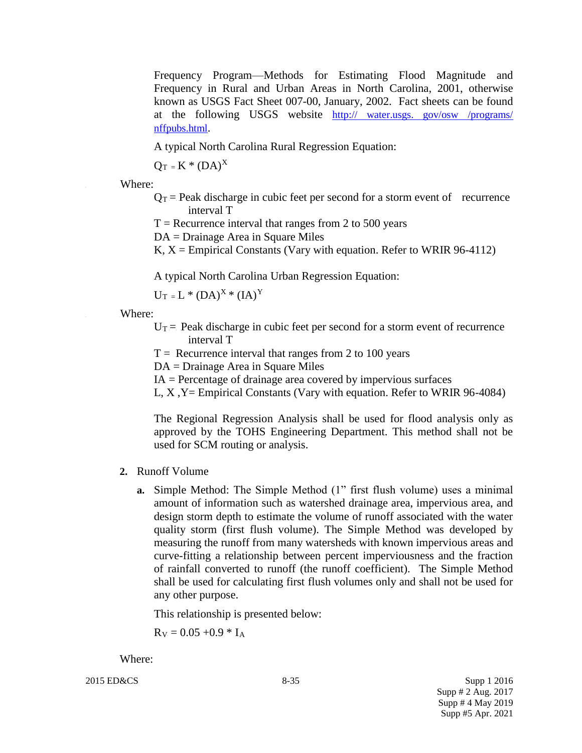Frequency Program—Methods for Estimating Flood Magnitude and Frequency in Rural and Urban Areas in North Carolina, 2001, otherwise known as USGS Fact Sheet 007-00, January, 2002. Fact sheets can be found at the following USGS website http:// water.usgs. gov/osw /programs/ nffpubs.html.

A typical North Carolina Rural Regression Equation:

 $Q_T$  = K \* (DA)<sup>X</sup>

Where:

- $Q_T$  = Peak discharge in cubic feet per second for a storm event of recurrence interval T
- $T =$  Recurrence interval that ranges from 2 to 500 years

DA = Drainage Area in Square Miles

K,  $X =$  Empirical Constants (Vary with equation. Refer to WRIR 96-4112)

A typical North Carolina Urban Regression Equation:

 $U_T = L * (DA)^X * (IA)^Y$ 

Where:

- $U_T$  Reak discharge in cubic feet per second for a storm event of recurrence interval T
- $T =$  Recurrence interval that ranges from 2 to 100 years

DA = Drainage Area in Square Miles

- $IA =$  Percentage of drainage area covered by impervious surfaces
- L, X ,Y= Empirical Constants (Vary with equation. Refer to WRIR 96-4084)

The Regional Regression Analysis shall be used for flood analysis only as approved by the TOHS Engineering Department. This method shall not be used for SCM routing or analysis.

- **2.** Runoff Volume
	- **a.** Simple Method: The Simple Method (1" first flush volume) uses a minimal amount of information such as watershed drainage area, impervious area, and design storm depth to estimate the volume of runoff associated with the water quality storm (first flush volume). The Simple Method was developed by measuring the runoff from many watersheds with known impervious areas and curve-fitting a relationship between percent imperviousness and the fraction of rainfall converted to runoff (the runoff coefficient). The Simple Method shall be used for calculating first flush volumes only and shall not be used for any other purpose.

This relationship is presented below:

 $R_V = 0.05 + 0.9 * I_A$ 

Where:

2015 ED&CS Supp 1 2016 Supp # 2 Aug. 2017 Supp # 4 May 2019 Supp #5 Apr. 2021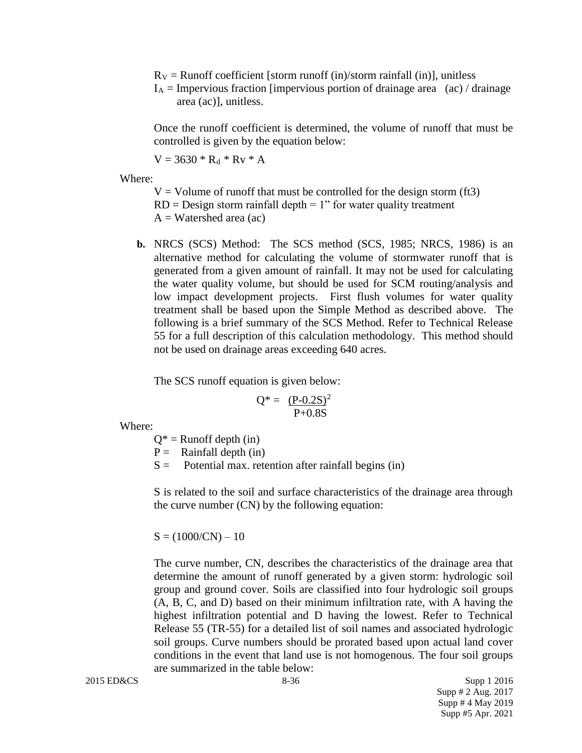$R_V =$  Runoff coefficient [storm runoff (in)/storm rainfall (in)], unitless

 $I_A$  = Impervious fraction [impervious portion of drainage area (ac) / drainage area (ac)], unitless.

Once the runoff coefficient is determined, the volume of runoff that must be controlled is given by the equation below:

 $V = 3630 * R_d * R_v * A$ 

Where:

 $V =$  Volume of runoff that must be controlled for the design storm (ft3)  $RD = Design storm rainfall depth = 1" for water quality treatment$  $A = W \text{atershed area (ac)}$ 

**b.** NRCS (SCS) Method: The SCS method (SCS, 1985; NRCS, 1986) is an alternative method for calculating the volume of stormwater runoff that is generated from a given amount of rainfall. It may not be used for calculating the water quality volume, but should be used for SCM routing/analysis and low impact development projects. First flush volumes for water quality treatment shall be based upon the Simple Method as described above. The following is a brief summary of the SCS Method. Refer to Technical Release 55 for a full description of this calculation methodology. This method should not be used on drainage areas exceeding 640 acres.

The SCS runoff equation is given below:

$$
Q^* = \frac{(P-0.2S)^2}{P+0.8S}
$$

Where:

- $Q^*$  = Runoff depth (in)
- $P =$  Rainfall depth (in)
- $S =$  Potential max. retention after rainfall begins (in)

S is related to the soil and surface characteristics of the drainage area through the curve number (CN) by the following equation:

 $S = (1000/CN) - 10$ 

The curve number, CN, describes the characteristics of the drainage area that determine the amount of runoff generated by a given storm: hydrologic soil group and ground cover. Soils are classified into four hydrologic soil groups (A, B, C, and D) based on their minimum infiltration rate, with A having the highest infiltration potential and D having the lowest. Refer to Technical Release 55 (TR-55) for a detailed list of soil names and associated hydrologic soil groups. Curve numbers should be prorated based upon actual land cover conditions in the event that land use is not homogenous. The four soil groups are summarized in the table below:

2015 ED&CS Supp 1 2016 Supp # 2 Aug. 2017 Supp # 4 May 2019 Supp #5 Apr. 2021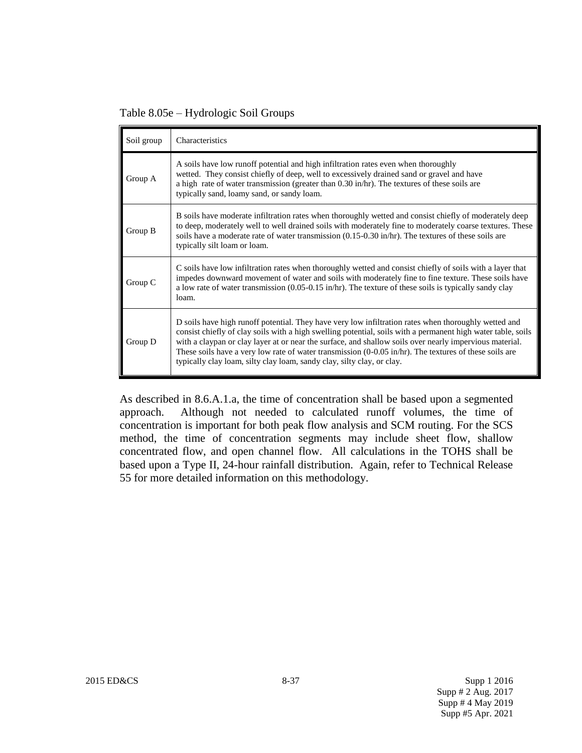Table 8.05e – Hydrologic Soil Groups

| Soil group | Characteristics                                                                                                                                                                                                                                                                                                                                                                                                                                                                                                                |
|------------|--------------------------------------------------------------------------------------------------------------------------------------------------------------------------------------------------------------------------------------------------------------------------------------------------------------------------------------------------------------------------------------------------------------------------------------------------------------------------------------------------------------------------------|
| Group A    | A soils have low runoff potential and high infiltration rates even when thoroughly<br>wetted. They consist chiefly of deep, well to excessively drained sand or gravel and have<br>a high rate of water transmission (greater than $0.30$ in/hr). The textures of these soils are<br>typically sand, loamy sand, or sandy loam.                                                                                                                                                                                                |
| Group B    | B soils have moderate infiltration rates when thoroughly wetted and consist chiefly of moderately deep<br>to deep, moderately well to well drained soils with moderately fine to moderately coarse textures. These<br>soils have a moderate rate of water transmission (0.15-0.30 in/hr). The textures of these soils are<br>typically silt loam or loam.                                                                                                                                                                      |
| Group C    | C soils have low infiltration rates when thoroughly wetted and consist chiefly of soils with a layer that<br>impedes downward movement of water and soils with moderately fine to fine texture. These soils have<br>a low rate of water transmission (0.05-0.15 in/hr). The texture of these soils is typically sandy clay<br>loam.                                                                                                                                                                                            |
| Group D    | D soils have high runoff potential. They have very low infiltration rates when thoroughly wetted and<br>consist chiefly of clay soils with a high swelling potential, soils with a permanent high water table, soils<br>with a claypan or clay layer at or near the surface, and shallow soils over nearly impervious material.<br>These soils have a very low rate of water transmission $(0-0.05 \text{ in/hr})$ . The textures of these soils are<br>typically clay loam, silty clay loam, sandy clay, silty clay, or clay. |

As described in 8.6.A.1.a, the time of concentration shall be based upon a segmented approach. Although not needed to calculated runoff volumes, the time of concentration is important for both peak flow analysis and SCM routing. For the SCS method, the time of concentration segments may include sheet flow, shallow concentrated flow, and open channel flow. All calculations in the TOHS shall be based upon a Type II, 24-hour rainfall distribution. Again, refer to Technical Release 55 for more detailed information on this methodology.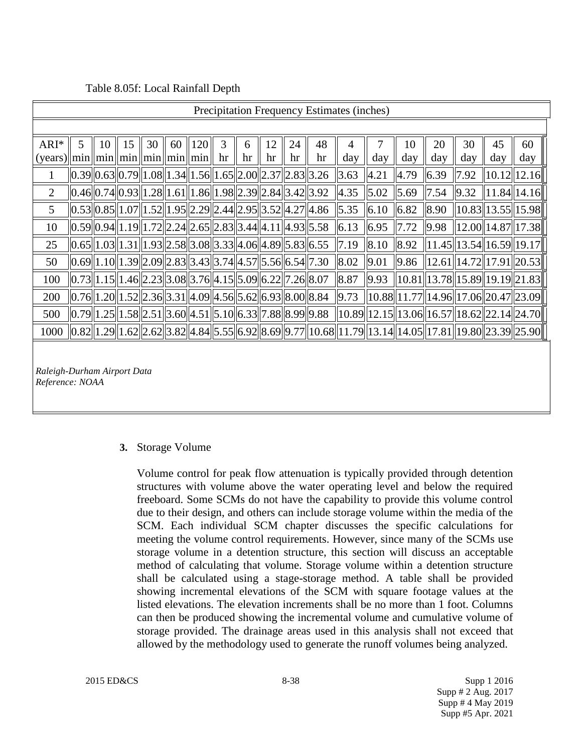#### Table 8.05f: Local Rainfall Depth

|                                          | Precipitation Frequency Estimates (inches)                                                                                                         |    |    |    |    |            |                                                                                          |    |    |    |    |      |              |      |      |                    |     |                                                                                                                          |
|------------------------------------------|----------------------------------------------------------------------------------------------------------------------------------------------------|----|----|----|----|------------|------------------------------------------------------------------------------------------|----|----|----|----|------|--------------|------|------|--------------------|-----|--------------------------------------------------------------------------------------------------------------------------|
|                                          |                                                                                                                                                    |    |    |    |    |            |                                                                                          |    |    |    |    |      |              |      |      |                    |     |                                                                                                                          |
| $ARI*$                                   | 5                                                                                                                                                  | 10 | 15 | 30 | 60 | <b>120</b> | 3                                                                                        | 6  | 12 | 24 | 48 | 4    | 7            | 10   | 20   | 30                 | 45  | 60                                                                                                                       |
| $(years)  min  min  min  min  min  min $ |                                                                                                                                                    |    |    |    |    |            | hr                                                                                       | hr | hr | hr | hr | day  | day          | day  | day  | day                | day | day                                                                                                                      |
| 1                                        | $\vert 0.39 \vert 0.63 \vert 0.79 \vert 1.08 \vert 1.34 \vert 1.56 \vert 1.65 \vert 2.00 \vert 2.37 \vert 2.83 \vert 3.26$                         |    |    |    |    |            |                                                                                          |    |    |    |    | 3.63 | 4.21         | 4.79 | 6.39 | $\vert 7.92 \vert$ |     | 10.12  12.16                                                                                                             |
| $\overline{2}$                           |                                                                                                                                                    |    |    |    |    |            | $[0.46]$ $0.74$ $[0.93]$ $1.28$ $[1.61]$ $1.86$ $[1.98]$ $2.39$ $[2.84]$ $3.42$ $[3.92]$ |    |    |    |    | 4.35 | $\vert$ 5.02 | 5.69 | 7.54 | 9.32               |     | $\ 11.84\ 14.16\ $                                                                                                       |
| 5                                        | $\vert 0.53 \vert 0.85 \vert 1.07 \vert 1.52 \vert 1.95 \vert 2.29 \vert 2.44 \vert 2.95 \vert 3.52 \vert 4.27 \vert 4.86$                         |    |    |    |    |            |                                                                                          |    |    |    |    | 5.35 | 6.10         | 6.82 | 8.90 |                    |     | $\ 10.83\ 13.55\ 15.98\ $                                                                                                |
| 10                                       | $\left  0.59 \right  0.94 \left  1.19 \right  1.72 \left  2.24 \right  2.65 \left  2.83 \right  3.44 \left  4.11 \right  4.93 \left  5.58 \right $ |    |    |    |    |            |                                                                                          |    |    |    |    | 6.13 | 6.95         | 7.72 | 9.98 |                    |     | $\ 12.00\ 14.87\ 17.38\ $                                                                                                |
| 25                                       | $\left  0.65 \right  1.03 \left  1.31 \right  1.93 \left  2.58 \right  3.08 \left  3.33 \right  4.06 \left  4.89 \right  5.83 \left  6.55 \right $ |    |    |    |    |            |                                                                                          |    |    |    |    | 7.19 | 8.10         | 8.92 |      |                    |     | $\ 11.45\ 13.54\ 16.59\ 19.17\ $                                                                                         |
| 50                                       | $\vert 0.69 \vert 1.10 \vert 1.39 \vert 2.09 \vert 2.83 \vert 3.43 \vert 3.74 \vert 4.57 \vert 5.56 \vert 6.54 \vert 7.30$                         |    |    |    |    |            |                                                                                          |    |    |    |    | 8.02 | 9.01         | 9.86 |      |                    |     | $\ 12.61\ 14.72\ 17.91\ 20.53\ $                                                                                         |
| 100                                      | $\vert 0.73 \vert 1.15 \vert 1.46 \vert 2.23 \vert 3.08 \vert 3.76 \vert 4.15 \vert 5.09 \vert 6.22 \vert 7.26 \vert 8.07$                         |    |    |    |    |            |                                                                                          |    |    |    |    | 8.87 | 9.93         |      |      |                    |     | $\ 10.81\ 13.78\ 15.89\ 19.19\ 21.83\ $                                                                                  |
| 200                                      | 0.76  1.20  1.52  2.36  3.31  4.09  4.56  5.62  6.93  8.00  8.84                                                                                   |    |    |    |    |            |                                                                                          |    |    |    |    | 9.73 |              |      |      |                    |     | $\ 10.88\ 11.77\ 14.96\ 17.06\ 20.47\ 23.09\ $                                                                           |
| 500                                      | $\ 0.79\ 1.25\ 1.58\ 2.51\ 3.60\ 4.51\ 5.10\ 6.33\ 7.88\ 8.99\ 9.88$                                                                               |    |    |    |    |            |                                                                                          |    |    |    |    |      |              |      |      |                    |     | $\ 10.89\ 12.15\ 13.06\ 16.57\ 18.62\ 22.14\ 24.70\ $                                                                    |
| 1000                                     |                                                                                                                                                    |    |    |    |    |            |                                                                                          |    |    |    |    |      |              |      |      |                    |     | $\ 0.82\ 1.29\ 1.62\ 2.62\ 3.82\ 4.84\ 5.55\ 6.92\ 8.69\ 9.77\ 10.68\ 11.79\ 13.14\ 14.05\ 17.81\ 19.80\ 23.39\ 25.90\ $ |
|                                          |                                                                                                                                                    |    |    |    |    |            |                                                                                          |    |    |    |    |      |              |      |      |                    |     |                                                                                                                          |
| Raleigh-Durham Airport Data              |                                                                                                                                                    |    |    |    |    |            |                                                                                          |    |    |    |    |      |              |      |      |                    |     |                                                                                                                          |
| Reference: NOAA                          |                                                                                                                                                    |    |    |    |    |            |                                                                                          |    |    |    |    |      |              |      |      |                    |     |                                                                                                                          |
|                                          |                                                                                                                                                    |    |    |    |    |            |                                                                                          |    |    |    |    |      |              |      |      |                    |     |                                                                                                                          |

#### **3.** Storage Volume

Volume control for peak flow attenuation is typically provided through detention structures with volume above the water operating level and below the required freeboard. Some SCMs do not have the capability to provide this volume control due to their design, and others can include storage volume within the media of the SCM. Each individual SCM chapter discusses the specific calculations for meeting the volume control requirements. However, since many of the SCMs use storage volume in a detention structure, this section will discuss an acceptable method of calculating that volume. Storage volume within a detention structure shall be calculated using a stage-storage method. A table shall be provided showing incremental elevations of the SCM with square footage values at the listed elevations. The elevation increments shall be no more than 1 foot. Columns can then be produced showing the incremental volume and cumulative volume of storage provided. The drainage areas used in this analysis shall not exceed that allowed by the methodology used to generate the runoff volumes being analyzed.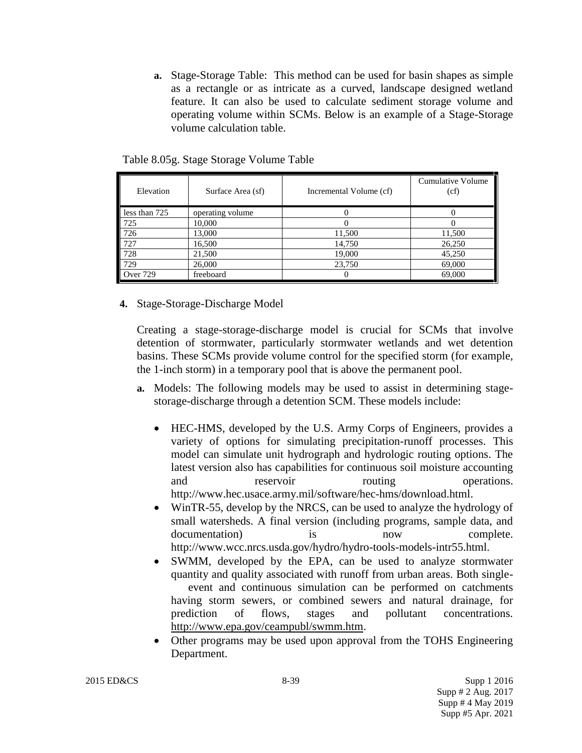**a.** Stage-Storage Table: This method can be used for basin shapes as simple as a rectangle or as intricate as a curved, landscape designed wetland feature. It can also be used to calculate sediment storage volume and operating volume within SCMs. Below is an example of a Stage-Storage volume calculation table.

| Table 8.05g. Stage Storage Volume Table |  |
|-----------------------------------------|--|
|-----------------------------------------|--|

| Elevation       | Surface Area (sf) | Incremental Volume (cf) | Cumulative Volume<br>(cf) |
|-----------------|-------------------|-------------------------|---------------------------|
| less than 725   | operating volume  |                         |                           |
| 725             | 10,000            |                         |                           |
| 726             | 13,000            | 11,500                  | 11,500                    |
| 727             | 16,500            | 14,750                  | 26,250                    |
| 728             | 21,500            | 19,000                  | 45,250                    |
| 729             | 26,000            | 23,750                  | 69,000                    |
| <b>Over 729</b> | freeboard         |                         | 69,000                    |

**4.** Stage-Storage-Discharge Model

Creating a stage-storage-discharge model is crucial for SCMs that involve detention of stormwater, particularly stormwater wetlands and wet detention basins. These SCMs provide volume control for the specified storm (for example, the 1-inch storm) in a temporary pool that is above the permanent pool.

- **a.** Models: The following models may be used to assist in determining stagestorage-discharge through a detention SCM. These models include:
	- HEC-HMS, developed by the U.S. Army Corps of Engineers, provides a variety of options for simulating precipitation-runoff processes. This model can simulate unit hydrograph and hydrologic routing options. The latest version also has capabilities for continuous soil moisture accounting and reservoir routing operations. http://www.hec.usace.army.mil/software/hec-hms/download.html.
	- WinTR-55, develop by the NRCS, can be used to analyze the hydrology of small watersheds. A final version (including programs, sample data, and documentation) is now complete. http://www.wcc.nrcs.usda.gov/hydro/hydro-tools-models-intr55.html.
	- SWMM, developed by the EPA, can be used to analyze stormwater quantity and quality associated with runoff from urban areas. Both singleevent and continuous simulation can be performed on catchments having storm sewers, or combined sewers and natural drainage, for prediction of flows, stages and pollutant concentrations. [http://www.epa.gov/ceampubl/swmm.htm.](http://www.epa.gov/ceampubl/swmm.htm)
	- Other programs may be used upon approval from the TOHS Engineering Department.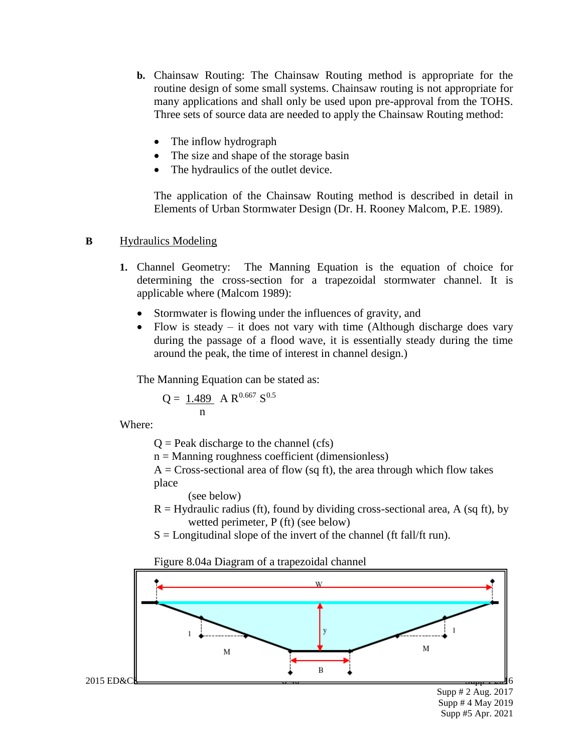- **b.** Chainsaw Routing: The Chainsaw Routing method is appropriate for the routine design of some small systems. Chainsaw routing is not appropriate for many applications and shall only be used upon pre-approval from the TOHS. Three sets of source data are needed to apply the Chainsaw Routing method:
	- The inflow hydrograph
	- The size and shape of the storage basin
	- The hydraulics of the outlet device.

The application of the Chainsaw Routing method is described in detail in Elements of Urban Stormwater Design (Dr. H. Rooney Malcom, P.E. 1989).

#### **B** Hydraulics Modeling

- **1.** Channel Geometry: The Manning Equation is the equation of choice for determining the cross-section for a trapezoidal stormwater channel. It is applicable where (Malcom 1989):
	- Stormwater is flowing under the influences of gravity, and
	- Flow is steady it does not vary with time (Although discharge does vary during the passage of a flood wave, it is essentially steady during the time around the peak, the time of interest in channel design.)

The Manning Equation can be stated as:

$$
Q = \frac{1.489}{n} A R^{0.667} S^{0.5}
$$

Where:

 $Q =$  Peak discharge to the channel (cfs)

- $n =$ Manning roughness coefficient (dimensionless)
- $A = Cross-sectional area of flow (sq ft), the area through which flow takes$ place

(see below)

- $R =$  Hydraulic radius (ft), found by dividing cross-sectional area, A (sq ft), by wetted perimeter, P (ft) (see below)
- $S =$  Longitudinal slope of the invert of the channel (ft fall/ft run).

Figure 8.04a Diagram of a trapezoidal channel



Supp # 2 Aug. 2017 Supp # 4 May 2019 Supp #5 Apr. 2021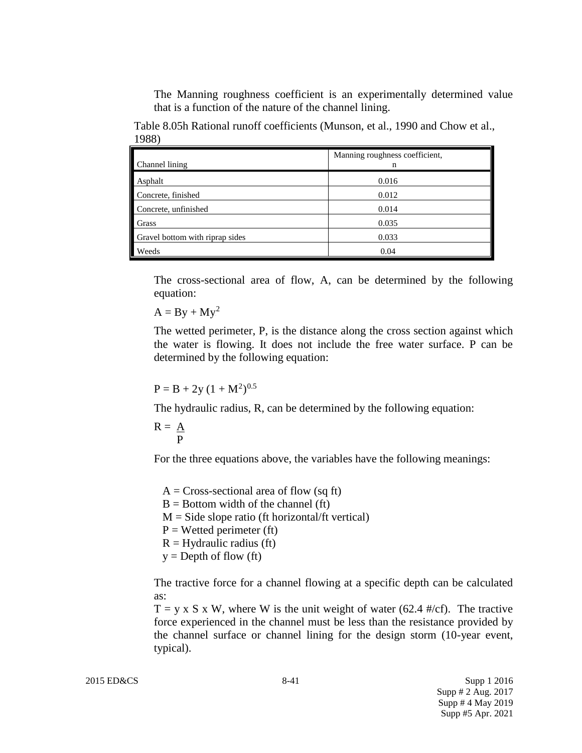The Manning roughness coefficient is an experimentally determined value that is a function of the nature of the channel lining.

Table 8.05h Rational runoff coefficients (Munson, et al., 1990 and Chow et al., 1988)

| Channel lining                  | Manning roughness coefficient,<br>n |
|---------------------------------|-------------------------------------|
| Asphalt                         | 0.016                               |
| Concrete, finished              | 0.012                               |
| Concrete, unfinished            | 0.014                               |
| Grass                           | 0.035                               |
| Gravel bottom with riprap sides | 0.033                               |
| Weeds                           | 0.04                                |

The cross-sectional area of flow, A, can be determined by the following equation:

 $A = By + My^2$ 

The wetted perimeter, P, is the distance along the cross section against which the water is flowing. It does not include the free water surface. P can be determined by the following equation:

 $P = B + 2y (1 + M^2)^{0.5}$ 

The hydraulic radius, R, can be determined by the following equation:

$$
R = \frac{A}{P}
$$

For the three equations above, the variables have the following meanings:

 $A = Cross-sectional area of flow (sq ft)$  $B =$  Bottom width of the channel (ft)  $M =$  Side slope ratio (ft horizontal/ft vertical)  $P = W$ etted perimeter (ft)  $R =$  Hydraulic radius (ft)  $y =$ Depth of flow (ft)

The tractive force for a channel flowing at a specific depth can be calculated as:

 $T = y \times S \times W$ , where W is the unit weight of water (62.4 #/cf). The tractive force experienced in the channel must be less than the resistance provided by the channel surface or channel lining for the design storm (10-year event, typical).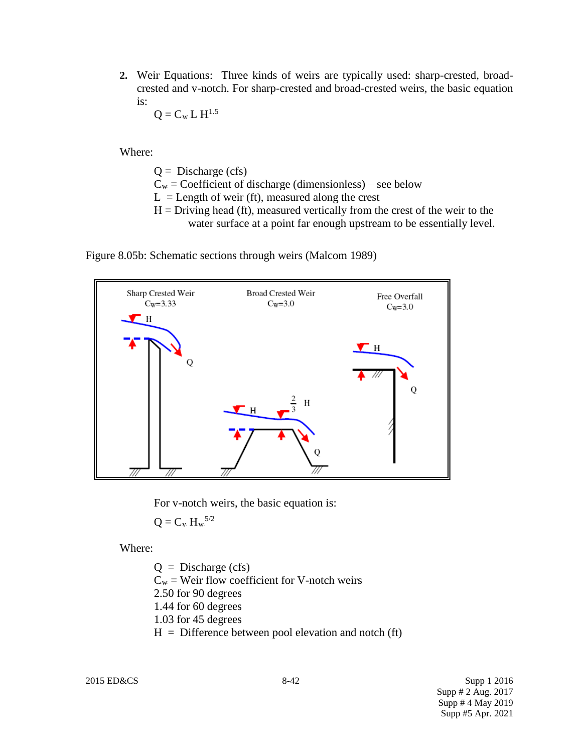**2.** Weir Equations: Three kinds of weirs are typically used: sharp-crested, broadcrested and v-notch. For sharp-crested and broad-crested weirs, the basic equation is: 5.

$$
Q = C_w L H^{1.5}
$$

Where:

- $Q =$  Discharge (cfs)
- $C_w =$  Coefficient of discharge (dimensionless) see below
- $L =$  Length of weir (ft), measured along the crest
- $H =$  Driving head (ft), measured vertically from the crest of the weir to the water surface at a point far enough upstream to be essentially level.

Figure 8.05b: Schematic sections through weirs (Malcom 1989)



For v-notch weirs, the basic equation is:

$$
Q=C_{\nu}\;H_{\rm w}{}^{5/2}
$$

Where:

 $Q =$  Discharge (cfs)  $C_w$  = Weir flow coefficient for V-notch weirs 2.50 for 90 degrees 1.44 for 60 degrees 1.03 for 45 degrees  $H =$  Difference between pool elevation and notch (ft)

2015 ED&CS 8-42 Supp 1 2016 Supp # 2 Aug. 2017 Supp # 4 May 2019 Supp #5 Apr. 2021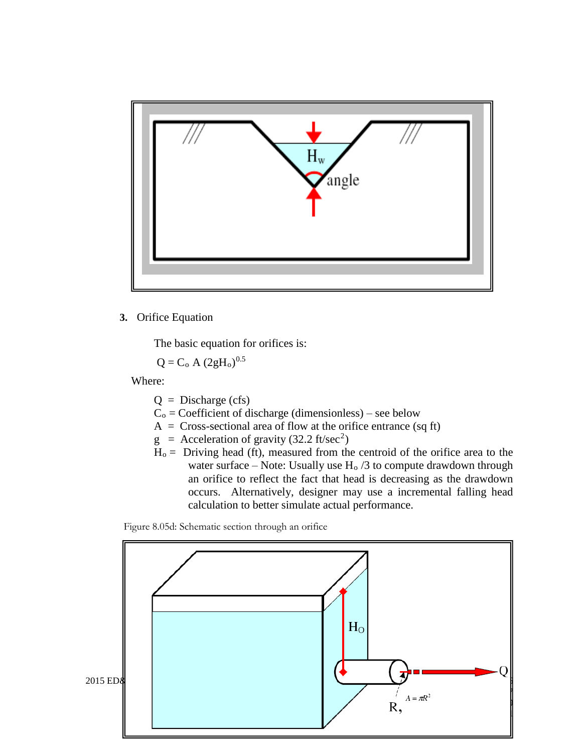

#### **3.** Orifice Equation

The basic equation for orifices is:

$$
Q = C_o A (2gH_o)^{0.5}
$$

Where:

- $Q = Discharge (cfs)$
- $C<sub>o</sub>$  = Coefficient of discharge (dimensionless) see below
- $A = Cross-sectional area of flow at the orifice entrance (sq ft)$
- $g =$  Acceleration of gravity (32.2 ft/sec<sup>2</sup>)
- $H<sub>o</sub> =$  Driving head (ft), measured from the centroid of the orifice area to the water surface – Note: Usually use  $H_0/3$  to compute drawdown through an orifice to reflect the fact that head is decreasing as the drawdown occurs. Alternatively, designer may use a incremental falling head calculation to better simulate actual performance.

Figure 8.05d: Schematic section through an orifice

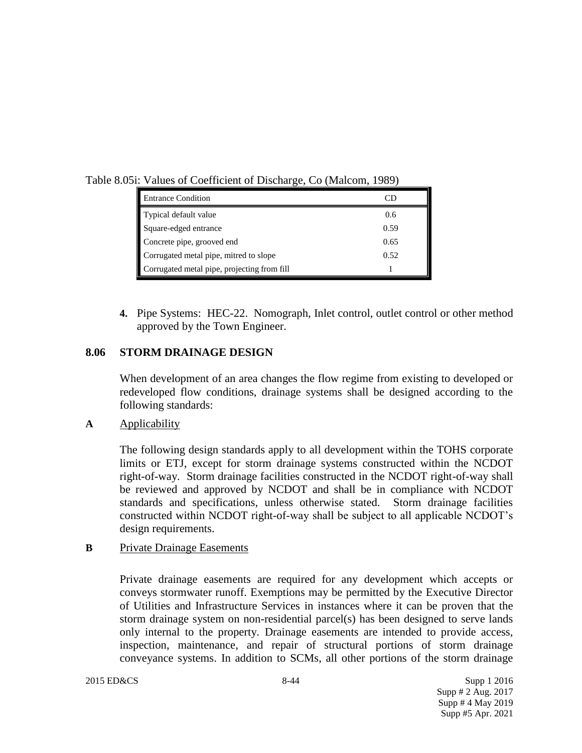Table 8.05i: Values of Coefficient of Discharge, Co (Malcom, 1989)

| <b>Entrance Condition</b>                   |      |
|---------------------------------------------|------|
| Typical default value                       | 0.6  |
| Square-edged entrance                       | 0.59 |
| Concrete pipe, grooved end                  | 0.65 |
| Corrugated metal pipe, mitred to slope      | 0.52 |
| Corrugated metal pipe, projecting from fill |      |

**4.** Pipe Systems: HEC-22. Nomograph, Inlet control, outlet control or other method approved by the Town Engineer.

# **8.06 STORM DRAINAGE DESIGN**

When development of an area changes the flow regime from existing to developed or redeveloped flow conditions, drainage systems shall be designed according to the following standards:

## **A** Applicability

The following design standards apply to all development within the TOHS corporate limits or ETJ, except for storm drainage systems constructed within the NCDOT right-of-way. Storm drainage facilities constructed in the NCDOT right-of-way shall be reviewed and approved by NCDOT and shall be in compliance with NCDOT standards and specifications, unless otherwise stated. Storm drainage facilities constructed within NCDOT right-of-way shall be subject to all applicable NCDOT's design requirements.

## **B** Private Drainage Easements

Private drainage easements are required for any development which accepts or conveys stormwater runoff. Exemptions may be permitted by the Executive Director of Utilities and Infrastructure Services in instances where it can be proven that the storm drainage system on non-residential parcel(s) has been designed to serve lands only internal to the property. Drainage easements are intended to provide access, inspection, maintenance, and repair of structural portions of storm drainage conveyance systems. In addition to SCMs, all other portions of the storm drainage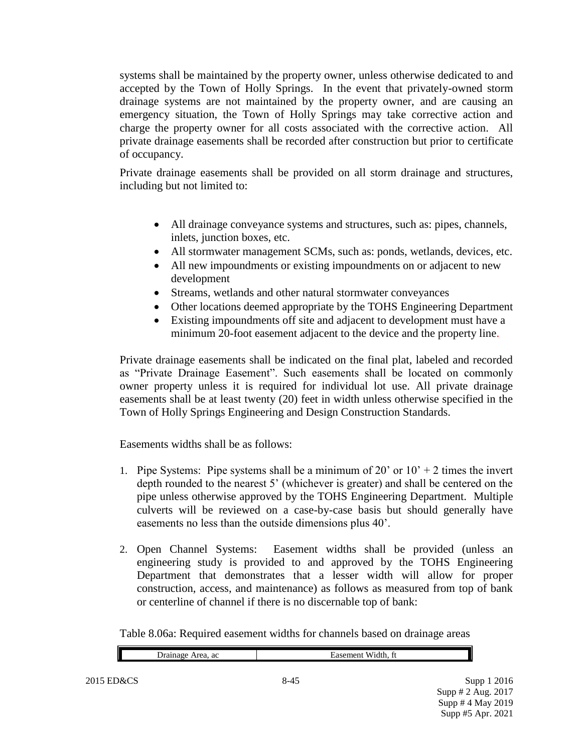systems shall be maintained by the property owner, unless otherwise dedicated to and accepted by the Town of Holly Springs. In the event that privately-owned storm drainage systems are not maintained by the property owner, and are causing an emergency situation, the Town of Holly Springs may take corrective action and charge the property owner for all costs associated with the corrective action. All private drainage easements shall be recorded after construction but prior to certificate of occupancy.

Private drainage easements shall be provided on all storm drainage and structures, including but not limited to:

- All drainage conveyance systems and structures, such as: pipes, channels, inlets, junction boxes, etc.
- All stormwater management SCMs, such as: ponds, wetlands, devices, etc.
- All new impoundments or existing impoundments on or adjacent to new development
- Streams, wetlands and other natural stormwater conveyances
- Other locations deemed appropriate by the TOHS Engineering Department
- Existing impoundments off site and adjacent to development must have a minimum 20-foot easement adjacent to the device and the property line.

Private drainage easements shall be indicated on the final plat, labeled and recorded as "Private Drainage Easement". Such easements shall be located on commonly owner property unless it is required for individual lot use. All private drainage easements shall be at least twenty (20) feet in width unless otherwise specified in the Town of Holly Springs Engineering and Design Construction Standards.

Easements widths shall be as follows:

- 1. Pipe Systems: Pipe systems shall be a minimum of 20' or  $10' + 2$  times the invert depth rounded to the nearest 5' (whichever is greater) and shall be centered on the pipe unless otherwise approved by the TOHS Engineering Department. Multiple culverts will be reviewed on a case-by-case basis but should generally have easements no less than the outside dimensions plus 40'.
- 2. Open Channel Systems: Easement widths shall be provided (unless an engineering study is provided to and approved by the TOHS Engineering Department that demonstrates that a lesser width will allow for proper construction, access, and maintenance) as follows as measured from top of bank or centerline of channel if there is no discernable top of bank:

Table 8.06a: Required easement widths for channels based on drainage areas

| $\mathbf \mathbf I$<br>ac | ∽ |
|---------------------------|---|
|                           |   |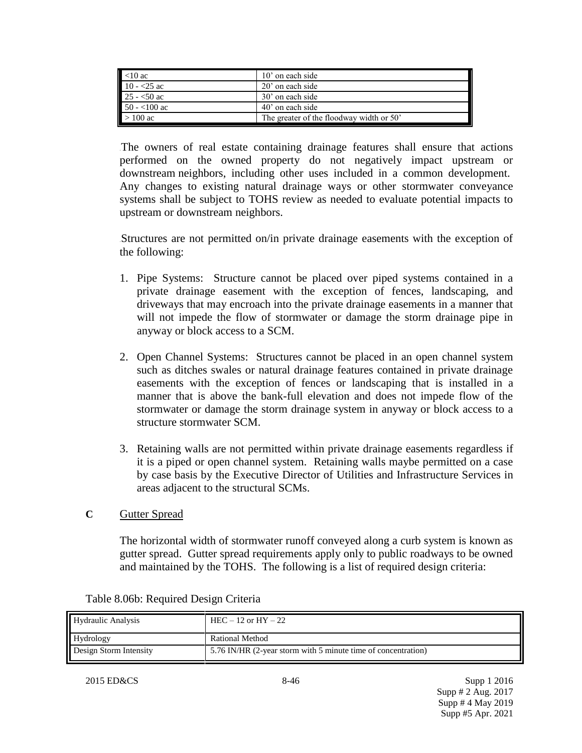| $<$ 10 ac     | $10'$ on each side                       |
|---------------|------------------------------------------|
| $10 - 25$ ac  | 20' on each side                         |
| $25 - 50$ ac  | 30' on each side                         |
| $50 - 100$ ac | 40' on each side                         |
| $>100$ ac     | The greater of the floodway width or 50' |

The owners of real estate containing drainage features shall ensure that actions performed on the owned property do not negatively impact upstream or downstream neighbors, including other uses included in a common development. Any changes to existing natural drainage ways or other stormwater conveyance systems shall be subject to TOHS review as needed to evaluate potential impacts to upstream or downstream neighbors.

Structures are not permitted on/in private drainage easements with the exception of the following:

- 1. Pipe Systems: Structure cannot be placed over piped systems contained in a private drainage easement with the exception of fences, landscaping, and driveways that may encroach into the private drainage easements in a manner that will not impede the flow of stormwater or damage the storm drainage pipe in anyway or block access to a SCM.
- 2. Open Channel Systems: Structures cannot be placed in an open channel system such as ditches swales or natural drainage features contained in private drainage easements with the exception of fences or landscaping that is installed in a manner that is above the bank-full elevation and does not impede flow of the stormwater or damage the storm drainage system in anyway or block access to a structure stormwater SCM.
- 3. Retaining walls are not permitted within private drainage easements regardless if it is a piped or open channel system. Retaining walls maybe permitted on a case by case basis by the Executive Director of Utilities and Infrastructure Services in areas adjacent to the structural SCMs.
- **C** Gutter Spread

The horizontal width of stormwater runoff conveyed along a curb system is known as gutter spread. Gutter spread requirements apply only to public roadways to be owned and maintained by the TOHS. The following is a list of required design criteria:

| <b>Hydraulic Analysis</b> | $HEC - 12$ or $HY - 22$                                       |
|---------------------------|---------------------------------------------------------------|
| Hydrology                 | Rational Method                                               |
| Design Storm Intensity    | 5.76 IN/HR (2-year storm with 5 minute time of concentration) |

|  |  | Table 8.06b: Required Design Criteria |  |
|--|--|---------------------------------------|--|
|--|--|---------------------------------------|--|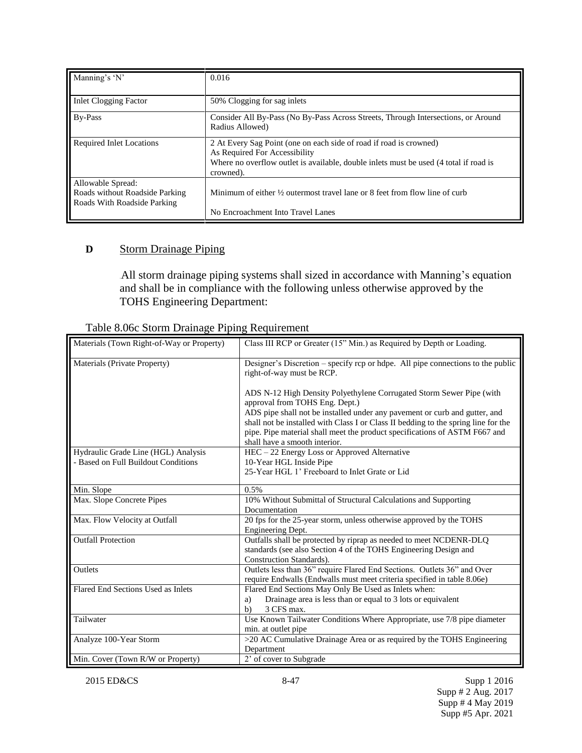| Manning's 'N'                                                                      | 0.016                                                                                                                                                                                                     |
|------------------------------------------------------------------------------------|-----------------------------------------------------------------------------------------------------------------------------------------------------------------------------------------------------------|
| <b>Inlet Clogging Factor</b>                                                       | 50% Clogging for sag inlets                                                                                                                                                                               |
| By-Pass                                                                            | Consider All By-Pass (No By-Pass Across Streets, Through Intersections, or Around<br>Radius Allowed)                                                                                                      |
| <b>Required Inlet Locations</b>                                                    | 2 At Every Sag Point (one on each side of road if road is crowned)<br>As Required For Accessibility<br>Where no overflow outlet is available, double inlets must be used (4 total if road is<br>crowned). |
| Allowable Spread:<br>Roads without Roadside Parking<br>Roads With Roadside Parking | Minimum of either $\frac{1}{2}$ outermost travel lane or 8 feet from flow line of curb                                                                                                                    |
|                                                                                    | No Encroachment Into Travel Lanes                                                                                                                                                                         |

# **D** Storm Drainage Piping

All storm drainage piping systems shall sized in accordance with Manning's equation and shall be in compliance with the following unless otherwise approved by the TOHS Engineering Department:

| Materials (Town Right-of-Way or Property) | Class III RCP or Greater (15" Min.) as Required by Depth or Loading.                                                                                                                                                                                                            |
|-------------------------------------------|---------------------------------------------------------------------------------------------------------------------------------------------------------------------------------------------------------------------------------------------------------------------------------|
| Materials (Private Property)              | Designer's Discretion – specify rcp or hdpe. All pipe connections to the public<br>right-of-way must be RCP.                                                                                                                                                                    |
|                                           | ADS N-12 High Density Polyethylene Corrugated Storm Sewer Pipe (with<br>approval from TOHS Eng. Dept.)                                                                                                                                                                          |
|                                           | ADS pipe shall not be installed under any pavement or curb and gutter, and<br>shall not be installed with Class I or Class II bedding to the spring line for the<br>pipe. Pipe material shall meet the product specifications of ASTM F667 and<br>shall have a smooth interior. |
| Hydraulic Grade Line (HGL) Analysis       | HEC - 22 Energy Loss or Approved Alternative                                                                                                                                                                                                                                    |
| - Based on Full Buildout Conditions       | 10-Year HGL Inside Pipe                                                                                                                                                                                                                                                         |
|                                           | 25-Year HGL 1' Freeboard to Inlet Grate or Lid                                                                                                                                                                                                                                  |
| Min. Slope                                | 0.5%                                                                                                                                                                                                                                                                            |
| Max. Slope Concrete Pipes                 | 10% Without Submittal of Structural Calculations and Supporting                                                                                                                                                                                                                 |
|                                           | Documentation                                                                                                                                                                                                                                                                   |
| Max. Flow Velocity at Outfall             | 20 fps for the 25-year storm, unless otherwise approved by the TOHS<br>Engineering Dept.                                                                                                                                                                                        |
| <b>Outfall Protection</b>                 | Outfalls shall be protected by riprap as needed to meet NCDENR-DLQ                                                                                                                                                                                                              |
|                                           | standards (see also Section 4 of the TOHS Engineering Design and                                                                                                                                                                                                                |
|                                           | Construction Standards).                                                                                                                                                                                                                                                        |
| Outlets                                   | Outlets less than 36" require Flared End Sections. Outlets 36" and Over<br>require Endwalls (Endwalls must meet criteria specified in table 8.06e)                                                                                                                              |
| Flared End Sections Used as Inlets        | Flared End Sections May Only Be Used as Inlets when:                                                                                                                                                                                                                            |
|                                           | Drainage area is less than or equal to 3 lots or equivalent<br>a)                                                                                                                                                                                                               |
|                                           | 3 CFS max.<br>$\mathbf{b}$                                                                                                                                                                                                                                                      |
| Tailwater                                 | Use Known Tailwater Conditions Where Appropriate, use 7/8 pipe diameter                                                                                                                                                                                                         |
|                                           | min. at outlet pipe                                                                                                                                                                                                                                                             |
| Analyze 100-Year Storm                    | >20 AC Cumulative Drainage Area or as required by the TOHS Engineering<br>Department                                                                                                                                                                                            |
| Min. Cover (Town R/W or Property)         | 2' of cover to Subgrade                                                                                                                                                                                                                                                         |

## Table 8.06c Storm Drainage Piping Requirement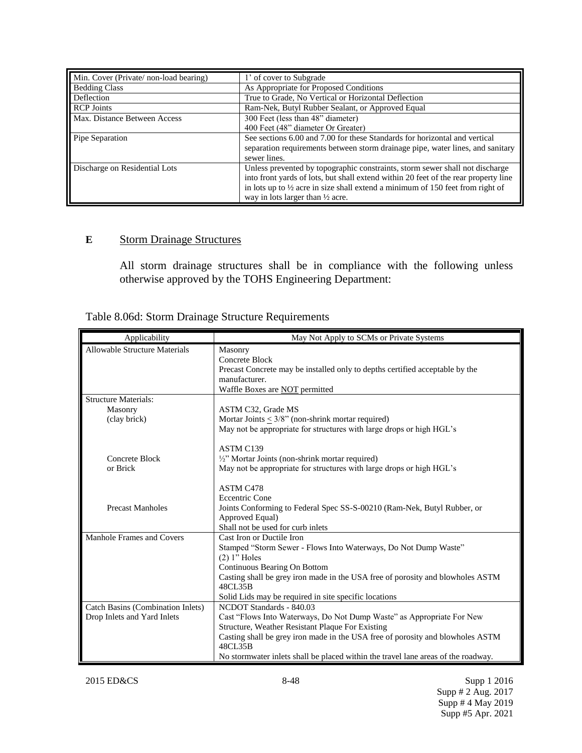| Min. Cover (Private/non-load bearing) | 1' of cover to Subgrade                                                                   |
|---------------------------------------|-------------------------------------------------------------------------------------------|
| <b>Bedding Class</b>                  | As Appropriate for Proposed Conditions                                                    |
| Deflection                            | True to Grade, No Vertical or Horizontal Deflection                                       |
| <b>RCP</b> Joints                     | Ram-Nek, Butyl Rubber Sealant, or Approved Equal                                          |
| Max. Distance Between Access          | 300 Feet (less than 48" diameter)                                                         |
|                                       | 400 Feet (48" diameter Or Greater)                                                        |
| Pipe Separation                       | See sections 6.00 and 7.00 for these Standards for horizontal and vertical                |
|                                       | separation requirements between storm drainage pipe, water lines, and sanitary            |
|                                       | sewer lines.                                                                              |
| Discharge on Residential Lots         | Unless prevented by topographic constraints, storm sewer shall not discharge              |
|                                       | into front yards of lots, but shall extend within 20 feet of the rear property line       |
|                                       | in lots up to $\frac{1}{2}$ acre in size shall extend a minimum of 150 feet from right of |
|                                       | way in lots larger than $\frac{1}{2}$ acre.                                               |

# **E** Storm Drainage Structures

All storm drainage structures shall be in compliance with the following unless otherwise approved by the TOHS Engineering Department:

| Table 8.06d: Storm Drainage Structure Requirements |  |  |  |
|----------------------------------------------------|--|--|--|
|                                                    |  |  |  |

| Applicability                        | May Not Apply to SCMs or Private Systems                                                  |
|--------------------------------------|-------------------------------------------------------------------------------------------|
| <b>Allowable Structure Materials</b> | Masonry                                                                                   |
|                                      | Concrete Block                                                                            |
|                                      | Precast Concrete may be installed only to depths certified acceptable by the              |
|                                      | manufacturer.                                                                             |
|                                      | Waffle Boxes are NOT permitted                                                            |
| <b>Structure Materials:</b>          |                                                                                           |
| Masonry                              | ASTM C32, Grade MS                                                                        |
| (clay brick)                         | Mortar Joints $\leq 3/8$ " (non-shrink mortar required)                                   |
|                                      | May not be appropriate for structures with large drops or high HGL's                      |
|                                      |                                                                                           |
|                                      | ASTM C139                                                                                 |
| Concrete Block                       | $\frac{1}{2}$ " Mortar Joints (non-shrink mortar required)                                |
| or Brick                             | May not be appropriate for structures with large drops or high HGL's                      |
|                                      |                                                                                           |
|                                      | ASTM C478                                                                                 |
|                                      | <b>Eccentric Cone</b>                                                                     |
| <b>Precast Manholes</b>              | Joints Conforming to Federal Spec SS-S-00210 (Ram-Nek, Butyl Rubber, or                   |
|                                      | Approved Equal)                                                                           |
|                                      | Shall not be used for curb inlets                                                         |
| Manhole Frames and Covers            | Cast Iron or Ductile Iron                                                                 |
|                                      | Stamped "Storm Sewer - Flows Into Waterways, Do Not Dump Waste"                           |
|                                      | $(2)$ 1" Holes                                                                            |
|                                      | Continuous Bearing On Bottom                                                              |
|                                      | Casting shall be grey iron made in the USA free of porosity and blowholes ASTM            |
|                                      | 48CL35B                                                                                   |
|                                      | Solid Lids may be required in site specific locations                                     |
| Catch Basins (Combination Inlets)    | NCDOT Standards - 840.03                                                                  |
| Drop Inlets and Yard Inlets          | Cast "Flows Into Waterways, Do Not Dump Waste" as Appropriate For New                     |
|                                      | Structure, Weather Resistant Plaque For Existing                                          |
|                                      | Casting shall be grey iron made in the USA free of porosity and blowholes ASTM<br>48CL35B |
|                                      | No stormwater inlets shall be placed within the travel lane areas of the roadway.         |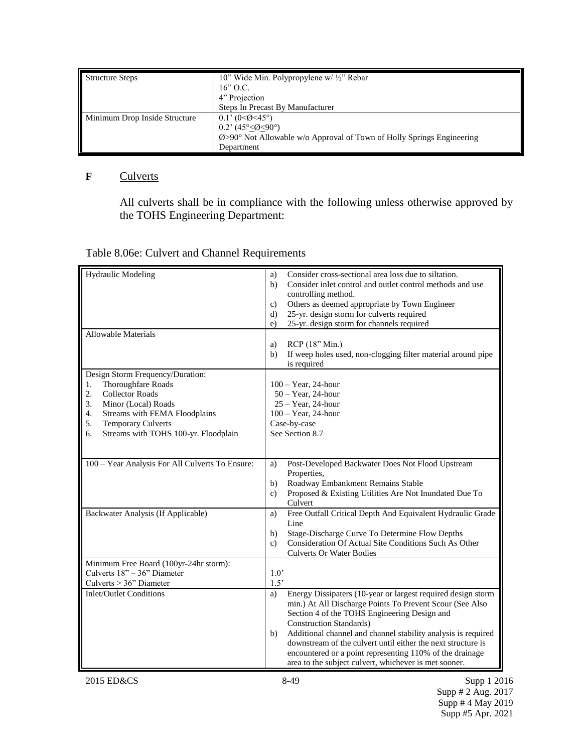| <b>Structure Steps</b>        | 10" Wide Min. Polypropylene w/ 1/2" Rebar                                        |  |
|-------------------------------|----------------------------------------------------------------------------------|--|
|                               | $16$ " O.C.                                                                      |  |
|                               | 4" Projection                                                                    |  |
|                               | Steps In Precast By Manufacturer                                                 |  |
| Minimum Drop Inside Structure | $0.1$ ' (0<0<45°)                                                                |  |
|                               | 0.2' $(45^{\circ} \le \cancel{0} \le 90^{\circ})$                                |  |
|                               | $\emptyset$ >90° Not Allowable w/o Approval of Town of Holly Springs Engineering |  |
|                               | Department                                                                       |  |

# **F** Culverts

All culverts shall be in compliance with the following unless otherwise approved by the TOHS Engineering Department:

# Table 8.06e: Culvert and Channel Requirements

| <b>Hydraulic Modeling</b>                         | Consider cross-sectional area loss due to siltation.<br>a)<br>Consider inlet control and outlet control methods and use<br>b)<br>controlling method. |
|---------------------------------------------------|------------------------------------------------------------------------------------------------------------------------------------------------------|
|                                                   | Others as deemed appropriate by Town Engineer<br>c)                                                                                                  |
|                                                   | 25-yr. design storm for culverts required<br>d)                                                                                                      |
|                                                   | 25-yr. design storm for channels required<br>e)                                                                                                      |
| Allowable Materials                               |                                                                                                                                                      |
|                                                   | RCP (18" Min.)<br>a)                                                                                                                                 |
|                                                   | b)<br>If weep holes used, non-clogging filter material around pipe                                                                                   |
|                                                   | is required                                                                                                                                          |
| Design Storm Frequency/Duration:                  |                                                                                                                                                      |
| Thoroughfare Roads<br>1.                          | $100 - Year$ , 24-hour                                                                                                                               |
| 2.<br><b>Collector Roads</b>                      | $50 - Year$ , 24-hour                                                                                                                                |
| 3.<br>Minor (Local) Roads                         | $25 - Year$ , 24-hour                                                                                                                                |
| $\overline{4}$ .<br>Streams with FEMA Floodplains | $100 - Year$ , 24-hour                                                                                                                               |
| 5.<br><b>Temporary Culverts</b>                   | Case-by-case                                                                                                                                         |
| Streams with TOHS 100-yr. Floodplain<br>6.        | See Section 8.7                                                                                                                                      |
|                                                   |                                                                                                                                                      |
|                                                   |                                                                                                                                                      |
| 100 - Year Analysis For All Culverts To Ensure:   | Post-Developed Backwater Does Not Flood Upstream<br>a)                                                                                               |
|                                                   | Properties,                                                                                                                                          |
|                                                   | Roadway Embankment Remains Stable<br>b)                                                                                                              |
|                                                   | Proposed & Existing Utilities Are Not Inundated Due To<br>c)                                                                                         |
|                                                   | Culvert                                                                                                                                              |
| Backwater Analysis (If Applicable)                | Free Outfall Critical Depth And Equivalent Hydraulic Grade<br>a)<br>Line                                                                             |
|                                                   |                                                                                                                                                      |
|                                                   | Stage-Discharge Curve To Determine Flow Depths<br>b)<br>Consideration Of Actual Site Conditions Such As Other                                        |
|                                                   | $\mathbf{c}$ )                                                                                                                                       |
| Minimum Free Board (100yr-24hr storm):            | <b>Culverts Or Water Bodies</b>                                                                                                                      |
| Culverts 18" - 36" Diameter                       | 1.0'                                                                                                                                                 |
| Culverts > 36" Diameter                           | 1.5'                                                                                                                                                 |
|                                                   |                                                                                                                                                      |
| <b>Inlet/Outlet Conditions</b>                    | Energy Dissipaters (10-year or largest required design storm<br>a)                                                                                   |
|                                                   | min.) At All Discharge Points To Prevent Scour (See Also                                                                                             |
|                                                   | Section 4 of the TOHS Engineering Design and                                                                                                         |
|                                                   | <b>Construction Standards)</b>                                                                                                                       |
|                                                   | Additional channel and channel stability analysis is required<br>b)                                                                                  |
|                                                   | downstream of the culvert until either the next structure is                                                                                         |
|                                                   | encountered or a point representing 110% of the drainage                                                                                             |
|                                                   | area to the subject culvert, whichever is met sooner.                                                                                                |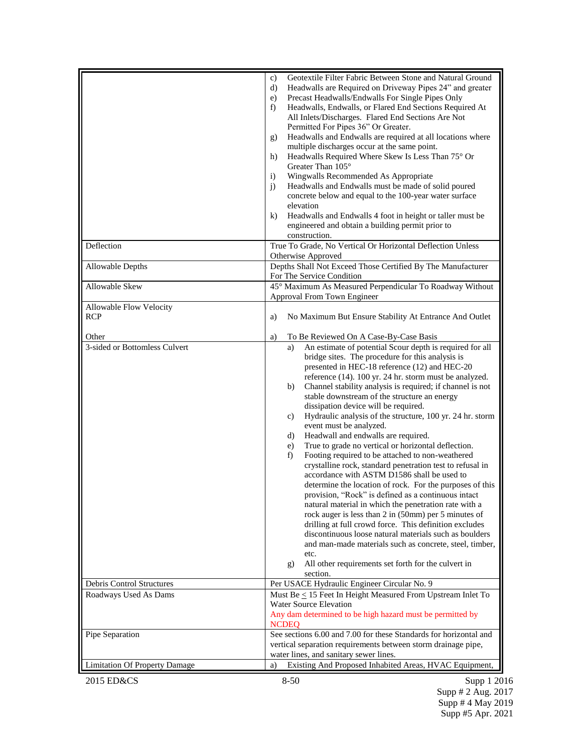|                                       | Geotextile Filter Fabric Between Stone and Natural Ground<br>c)<br>Headwalls are Required on Driveway Pipes 24" and greater<br>d)<br>Precast Headwalls/Endwalls For Single Pipes Only<br>e)<br>Headwalls, Endwalls, or Flared End Sections Required At<br>f)<br>All Inlets/Discharges. Flared End Sections Are Not<br>Permitted For Pipes 36" Or Greater.<br>Headwalls and Endwalls are required at all locations where<br>g)<br>multiple discharges occur at the same point.<br>Headwalls Required Where Skew Is Less Than $75^{\circ}$ Or<br>h)<br>Greater Than 105°<br>Wingwalls Recommended As Appropriate<br>$\ddot{1}$<br>Headwalls and Endwalls must be made of solid poured<br>$\mathbf{i}$<br>concrete below and equal to the 100-year water surface<br>elevation<br>Headwalls and Endwalls 4 foot in height or taller must be<br>$\bf{k}$<br>engineered and obtain a building permit prior to<br>construction.                                                                                                                                                                                                                                                                                                                                                   |
|---------------------------------------|----------------------------------------------------------------------------------------------------------------------------------------------------------------------------------------------------------------------------------------------------------------------------------------------------------------------------------------------------------------------------------------------------------------------------------------------------------------------------------------------------------------------------------------------------------------------------------------------------------------------------------------------------------------------------------------------------------------------------------------------------------------------------------------------------------------------------------------------------------------------------------------------------------------------------------------------------------------------------------------------------------------------------------------------------------------------------------------------------------------------------------------------------------------------------------------------------------------------------------------------------------------------------|
| Deflection                            | True To Grade, No Vertical Or Horizontal Deflection Unless<br>Otherwise Approved                                                                                                                                                                                                                                                                                                                                                                                                                                                                                                                                                                                                                                                                                                                                                                                                                                                                                                                                                                                                                                                                                                                                                                                           |
| Allowable Depths                      | Depths Shall Not Exceed Those Certified By The Manufacturer<br>For The Service Condition                                                                                                                                                                                                                                                                                                                                                                                                                                                                                                                                                                                                                                                                                                                                                                                                                                                                                                                                                                                                                                                                                                                                                                                   |
| Allowable Skew                        | 45° Maximum As Measured Perpendicular To Roadway Without<br>Approval From Town Engineer                                                                                                                                                                                                                                                                                                                                                                                                                                                                                                                                                                                                                                                                                                                                                                                                                                                                                                                                                                                                                                                                                                                                                                                    |
| Allowable Flow Velocity<br><b>RCP</b> | No Maximum But Ensure Stability At Entrance And Outlet<br>a)                                                                                                                                                                                                                                                                                                                                                                                                                                                                                                                                                                                                                                                                                                                                                                                                                                                                                                                                                                                                                                                                                                                                                                                                               |
| Other                                 | To Be Reviewed On A Case-By-Case Basis<br>a)                                                                                                                                                                                                                                                                                                                                                                                                                                                                                                                                                                                                                                                                                                                                                                                                                                                                                                                                                                                                                                                                                                                                                                                                                               |
| 3-sided or Bottomless Culvert         | An estimate of potential Scour depth is required for all<br>a)<br>bridge sites. The procedure for this analysis is<br>presented in HEC-18 reference (12) and HEC-20<br>reference (14). 100 yr. 24 hr. storm must be analyzed.<br>Channel stability analysis is required; if channel is not<br>b)<br>stable downstream of the structure an energy<br>dissipation device will be required.<br>Hydraulic analysis of the structure, 100 yr. 24 hr. storm<br>c)<br>event must be analyzed.<br>Headwall and endwalls are required.<br>d)<br>True to grade no vertical or horizontal deflection.<br>e)<br>Footing required to be attached to non-weathered<br>f)<br>crystalline rock, standard penetration test to refusal in<br>accordance with ASTM D1586 shall be used to<br>determine the location of rock. For the purposes of this<br>provision, "Rock" is defined as a continuous intact<br>natural material in which the penetration rate with a<br>rock auger is less than 2 in (50mm) per 5 minutes of<br>drilling at full crowd force. This definition excludes<br>discontinuous loose natural materials such as boulders<br>and man-made materials such as concrete, steel, timber,<br>etc.<br>All other requirements set forth for the culvert in<br>g)<br>section. |
| Debris Control Structures             | Per USACE Hydraulic Engineer Circular No. 9                                                                                                                                                                                                                                                                                                                                                                                                                                                                                                                                                                                                                                                                                                                                                                                                                                                                                                                                                                                                                                                                                                                                                                                                                                |
| Roadways Used As Dams                 | Must Be $\leq$ 15 Feet In Height Measured From Upstream Inlet To<br><b>Water Source Elevation</b><br>Any dam determined to be high hazard must be permitted by<br><b>NCDEQ</b>                                                                                                                                                                                                                                                                                                                                                                                                                                                                                                                                                                                                                                                                                                                                                                                                                                                                                                                                                                                                                                                                                             |
| Pipe Separation                       | See sections 6.00 and 7.00 for these Standards for horizontal and<br>vertical separation requirements between storm drainage pipe,<br>water lines, and sanitary sewer lines.                                                                                                                                                                                                                                                                                                                                                                                                                                                                                                                                                                                                                                                                                                                                                                                                                                                                                                                                                                                                                                                                                               |
| <b>Limitation Of Property Damage</b>  | Existing And Proposed Inhabited Areas, HVAC Equipment,<br>a)                                                                                                                                                                                                                                                                                                                                                                                                                                                                                                                                                                                                                                                                                                                                                                                                                                                                                                                                                                                                                                                                                                                                                                                                               |
| 2015 ED&CS                            | $8 - 50$<br>Supp 1 2016                                                                                                                                                                                                                                                                                                                                                                                                                                                                                                                                                                                                                                                                                                                                                                                                                                                                                                                                                                                                                                                                                                                                                                                                                                                    |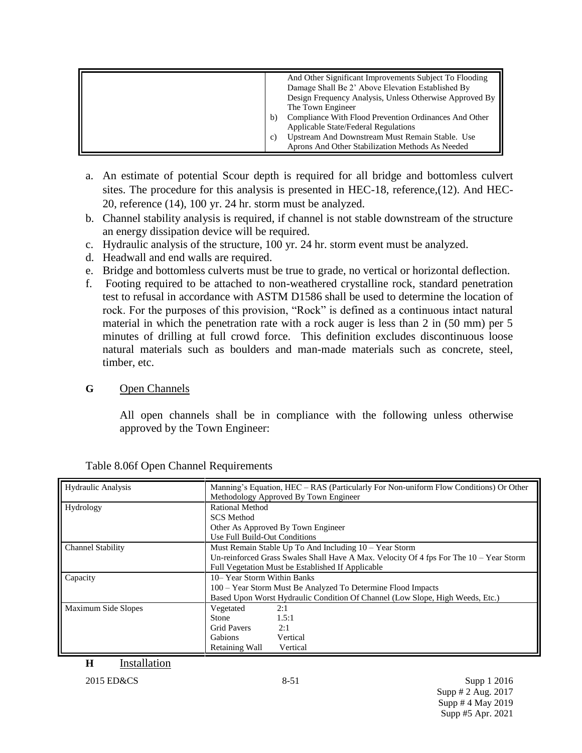| And Other Significant Improvements Subject To Flooding<br>Damage Shall Be 2' Above Elevation Established By<br>Design Frequency Analysis, Unless Otherwise Approved By<br>The Town Engineer<br>Compliance With Flood Prevention Ordinances And Other<br>b)<br><b>Applicable State/Federal Regulations</b><br>Upstream And Downstream Must Remain Stable. Use<br>C) |
|--------------------------------------------------------------------------------------------------------------------------------------------------------------------------------------------------------------------------------------------------------------------------------------------------------------------------------------------------------------------|
| Aprons And Other Stabilization Methods As Needed                                                                                                                                                                                                                                                                                                                   |

- a. An estimate of potential Scour depth is required for all bridge and bottomless culvert sites. The procedure for this analysis is presented in HEC-18, reference,(12). And HEC-20, reference (14), 100 yr. 24 hr. storm must be analyzed.
- b. Channel stability analysis is required, if channel is not stable downstream of the structure an energy dissipation device will be required.
- c. Hydraulic analysis of the structure, 100 yr. 24 hr. storm event must be analyzed.
- d. Headwall and end walls are required.
- e. Bridge and bottomless culverts must be true to grade, no vertical or horizontal deflection.
- f. Footing required to be attached to non-weathered crystalline rock, standard penetration test to refusal in accordance with ASTM D1586 shall be used to determine the location of rock. For the purposes of this provision, "Rock" is defined as a continuous intact natural material in which the penetration rate with a rock auger is less than 2 in (50 mm) per 5 minutes of drilling at full crowd force. This definition excludes discontinuous loose natural materials such as boulders and man-made materials such as concrete, steel, timber, etc.

# **G** Open Channels

All open channels shall be in compliance with the following unless otherwise approved by the Town Engineer:

| Hydraulic Analysis       | Manning's Equation, HEC – RAS (Particularly For Non-uniform Flow Conditions) Or Other<br>Methodology Approved By Town Engineer |
|--------------------------|--------------------------------------------------------------------------------------------------------------------------------|
| Hydrology                | Rational Method                                                                                                                |
|                          | <b>SCS</b> Method                                                                                                              |
|                          | Other As Approved By Town Engineer                                                                                             |
|                          | Use Full Build-Out Conditions                                                                                                  |
| <b>Channel Stability</b> | Must Remain Stable Up To And Including 10 - Year Storm                                                                         |
|                          | Un-reinforced Grass Swales Shall Have A Max. Velocity Of 4 fps For The 10 – Year Storm                                         |
|                          | Full Vegetation Must be Established If Applicable                                                                              |
| Capacity                 | 10– Year Storm Within Banks                                                                                                    |
|                          | 100 – Year Storm Must Be Analyzed To Determine Flood Impacts                                                                   |
|                          | Based Upon Worst Hydraulic Condition Of Channel (Low Slope, High Weeds, Etc.)                                                  |
| Maximum Side Slopes      | 2:1<br>Vegetated                                                                                                               |
|                          | 1.5:1<br><b>Stone</b>                                                                                                          |
|                          | <b>Grid Pavers</b><br>2:1                                                                                                      |
|                          | <b>Gabions</b><br>Vertical                                                                                                     |
|                          | Vertical<br>Retaining Wall                                                                                                     |

| Table 8.06f Open Channel Requirements |
|---------------------------------------|
|---------------------------------------|

**H** Installation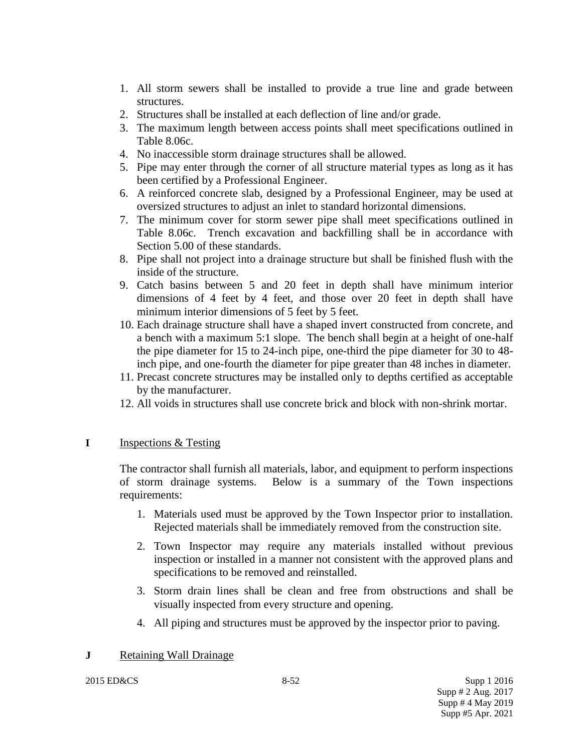- 1. All storm sewers shall be installed to provide a true line and grade between structures.
- 2. Structures shall be installed at each deflection of line and/or grade.
- 3. The maximum length between access points shall meet specifications outlined in Table 8.06c.
- 4. No inaccessible storm drainage structures shall be allowed.
- 5. Pipe may enter through the corner of all structure material types as long as it has been certified by a Professional Engineer.
- 6. A reinforced concrete slab, designed by a Professional Engineer, may be used at oversized structures to adjust an inlet to standard horizontal dimensions.
- 7. The minimum cover for storm sewer pipe shall meet specifications outlined in Table 8.06c. Trench excavation and backfilling shall be in accordance with Section 5.00 of these standards.
- 8. Pipe shall not project into a drainage structure but shall be finished flush with the inside of the structure.
- 9. Catch basins between 5 and 20 feet in depth shall have minimum interior dimensions of 4 feet by 4 feet, and those over 20 feet in depth shall have minimum interior dimensions of 5 feet by 5 feet.
- 10. Each drainage structure shall have a shaped invert constructed from concrete, and a bench with a maximum 5:1 slope. The bench shall begin at a height of one-half the pipe diameter for 15 to 24-inch pipe, one-third the pipe diameter for 30 to 48 inch pipe, and one-fourth the diameter for pipe greater than 48 inches in diameter.
- 11. Precast concrete structures may be installed only to depths certified as acceptable by the manufacturer.
- 12. All voids in structures shall use concrete brick and block with non-shrink mortar.

## **I** Inspections & Testing

The contractor shall furnish all materials, labor, and equipment to perform inspections of storm drainage systems. Below is a summary of the Town inspections requirements:

- 1. Materials used must be approved by the Town Inspector prior to installation. Rejected materials shall be immediately removed from the construction site.
- 2. Town Inspector may require any materials installed without previous inspection or installed in a manner not consistent with the approved plans and specifications to be removed and reinstalled.
- 3. Storm drain lines shall be clean and free from obstructions and shall be visually inspected from every structure and opening.
- 4. All piping and structures must be approved by the inspector prior to paving.

## **J** Retaining Wall Drainage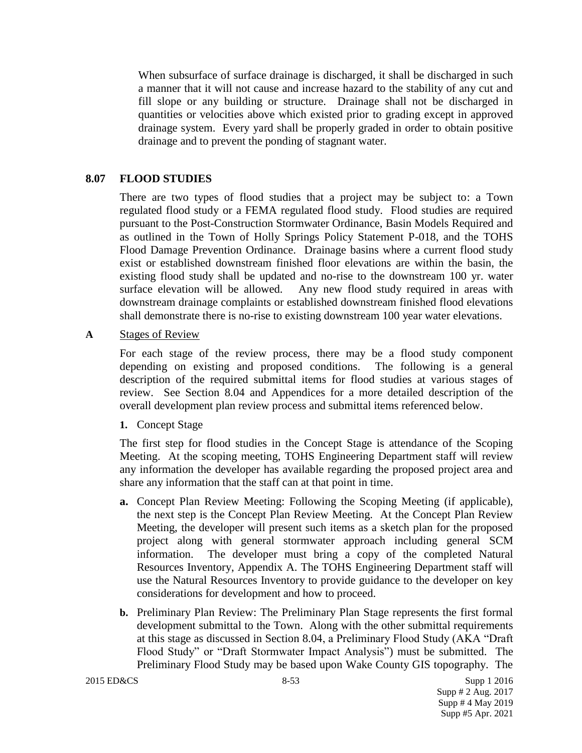When subsurface of surface drainage is discharged, it shall be discharged in such a manner that it will not cause and increase hazard to the stability of any cut and fill slope or any building or structure. Drainage shall not be discharged in quantities or velocities above which existed prior to grading except in approved drainage system. Every yard shall be properly graded in order to obtain positive drainage and to prevent the ponding of stagnant water.

## **8.07 FLOOD STUDIES**

There are two types of flood studies that a project may be subject to: a Town regulated flood study or a FEMA regulated flood study. Flood studies are required pursuant to the Post-Construction Stormwater Ordinance, Basin Models Required and as outlined in the Town of Holly Springs Policy Statement P-018, and the TOHS Flood Damage Prevention Ordinance. Drainage basins where a current flood study exist or established downstream finished floor elevations are within the basin, the existing flood study shall be updated and no-rise to the downstream 100 yr. water surface elevation will be allowed. Any new flood study required in areas with downstream drainage complaints or established downstream finished flood elevations shall demonstrate there is no-rise to existing downstream 100 year water elevations.

#### **A** Stages of Review

For each stage of the review process, there may be a flood study component depending on existing and proposed conditions. The following is a general description of the required submittal items for flood studies at various stages of review. See Section 8.04 and Appendices for a more detailed description of the overall development plan review process and submittal items referenced below.

#### **1.** Concept Stage

The first step for flood studies in the Concept Stage is attendance of the Scoping Meeting. At the scoping meeting, TOHS Engineering Department staff will review any information the developer has available regarding the proposed project area and share any information that the staff can at that point in time.

- **a.** Concept Plan Review Meeting: Following the Scoping Meeting (if applicable), the next step is the Concept Plan Review Meeting. At the Concept Plan Review Meeting, the developer will present such items as a sketch plan for the proposed project along with general stormwater approach including general SCM information. The developer must bring a copy of the completed Natural Resources Inventory, Appendix A. The TOHS Engineering Department staff will use the Natural Resources Inventory to provide guidance to the developer on key considerations for development and how to proceed.
- **b.** Preliminary Plan Review: The Preliminary Plan Stage represents the first formal development submittal to the Town. Along with the other submittal requirements at this stage as discussed in Section 8.04, a Preliminary Flood Study (AKA "Draft Flood Study" or "Draft Stormwater Impact Analysis") must be submitted. The Preliminary Flood Study may be based upon Wake County GIS topography. The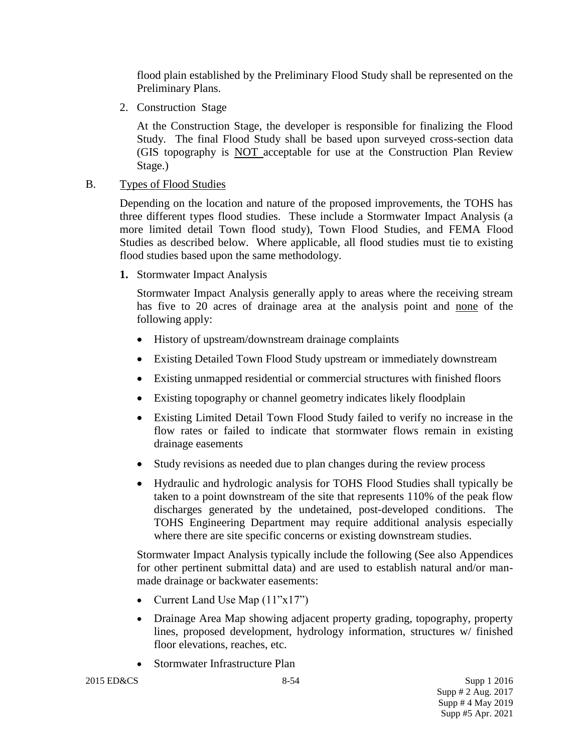flood plain established by the Preliminary Flood Study shall be represented on the Preliminary Plans.

2. Construction Stage

At the Construction Stage, the developer is responsible for finalizing the Flood Study. The final Flood Study shall be based upon surveyed cross-section data (GIS topography is NOT acceptable for use at the Construction Plan Review Stage.)

## B. Types of Flood Studies

Depending on the location and nature of the proposed improvements, the TOHS has three different types flood studies. These include a Stormwater Impact Analysis (a more limited detail Town flood study), Town Flood Studies, and FEMA Flood Studies as described below. Where applicable, all flood studies must tie to existing flood studies based upon the same methodology.

**1.** Stormwater Impact Analysis

Stormwater Impact Analysis generally apply to areas where the receiving stream has five to 20 acres of drainage area at the analysis point and none of the following apply:

- History of upstream/downstream drainage complaints
- Existing Detailed Town Flood Study upstream or immediately downstream
- Existing unmapped residential or commercial structures with finished floors
- Existing topography or channel geometry indicates likely floodplain
- Existing Limited Detail Town Flood Study failed to verify no increase in the flow rates or failed to indicate that stormwater flows remain in existing drainage easements
- Study revisions as needed due to plan changes during the review process
- Hydraulic and hydrologic analysis for TOHS Flood Studies shall typically be taken to a point downstream of the site that represents 110% of the peak flow discharges generated by the undetained, post-developed conditions. The TOHS Engineering Department may require additional analysis especially where there are site specific concerns or existing downstream studies.

Stormwater Impact Analysis typically include the following (See also Appendices for other pertinent submittal data) and are used to establish natural and/or manmade drainage or backwater easements:

- Current Land Use Map (11"x17")
- Drainage Area Map showing adjacent property grading, topography, property lines, proposed development, hydrology information, structures w/ finished floor elevations, reaches, etc.
- Stormwater Infrastructure Plan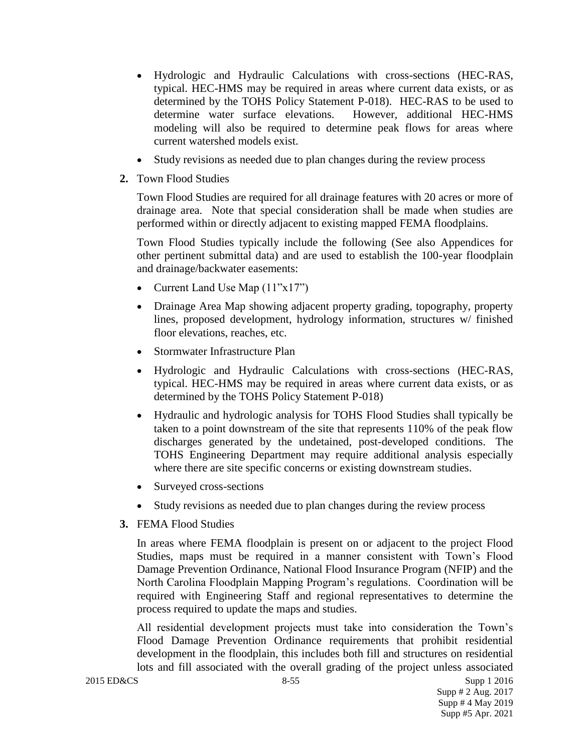- Hydrologic and Hydraulic Calculations with cross-sections (HEC-RAS, typical. HEC-HMS may be required in areas where current data exists, or as determined by the TOHS Policy Statement P-018). HEC-RAS to be used to determine water surface elevations. However, additional HEC-HMS modeling will also be required to determine peak flows for areas where current watershed models exist.
- Study revisions as needed due to plan changes during the review process
- **2.** Town Flood Studies

Town Flood Studies are required for all drainage features with 20 acres or more of drainage area. Note that special consideration shall be made when studies are performed within or directly adjacent to existing mapped FEMA floodplains.

Town Flood Studies typically include the following (See also Appendices for other pertinent submittal data) and are used to establish the 100-year floodplain and drainage/backwater easements:

- Current Land Use Map  $(11"x17")$
- Drainage Area Map showing adjacent property grading, topography, property lines, proposed development, hydrology information, structures w/ finished floor elevations, reaches, etc.
- Stormwater Infrastructure Plan
- Hydrologic and Hydraulic Calculations with cross-sections (HEC-RAS, typical. HEC-HMS may be required in areas where current data exists, or as determined by the TOHS Policy Statement P-018)
- Hydraulic and hydrologic analysis for TOHS Flood Studies shall typically be taken to a point downstream of the site that represents 110% of the peak flow discharges generated by the undetained, post-developed conditions. The TOHS Engineering Department may require additional analysis especially where there are site specific concerns or existing downstream studies.
- Surveyed cross-sections
- Study revisions as needed due to plan changes during the review process
- **3.** FEMA Flood Studies

In areas where FEMA floodplain is present on or adjacent to the project Flood Studies, maps must be required in a manner consistent with Town's Flood Damage Prevention Ordinance, National Flood Insurance Program (NFIP) and the North Carolina Floodplain Mapping Program's regulations. Coordination will be required with Engineering Staff and regional representatives to determine the process required to update the maps and studies.

All residential development projects must take into consideration the Town's Flood Damage Prevention Ordinance requirements that prohibit residential development in the floodplain, this includes both fill and structures on residential lots and fill associated with the overall grading of the project unless associated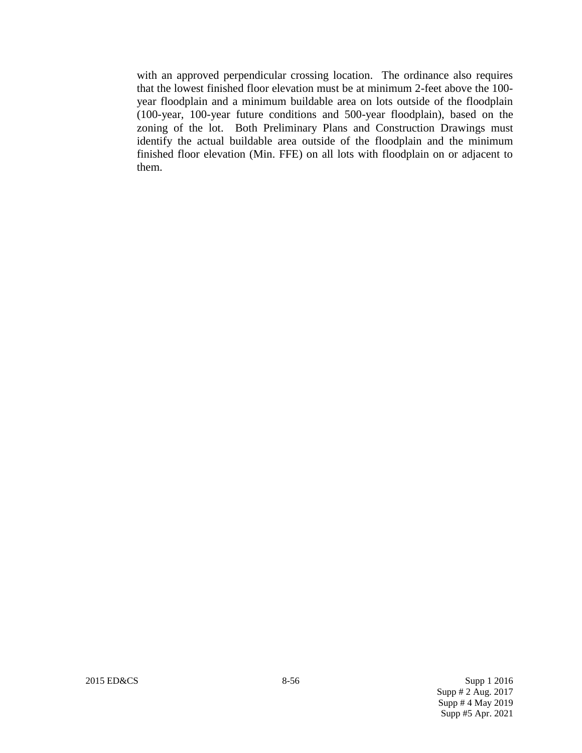with an approved perpendicular crossing location. The ordinance also requires that the lowest finished floor elevation must be at minimum 2-feet above the 100 year floodplain and a minimum buildable area on lots outside of the floodplain (100-year, 100-year future conditions and 500-year floodplain), based on the zoning of the lot. Both Preliminary Plans and Construction Drawings must identify the actual buildable area outside of the floodplain and the minimum finished floor elevation (Min. FFE) on all lots with floodplain on or adjacent to them.

2015 ED&CS 8-56 Supp 1 2016 Supp # 2 Aug. 2017 Supp # 4 May 2019 Supp #5 Apr. 2021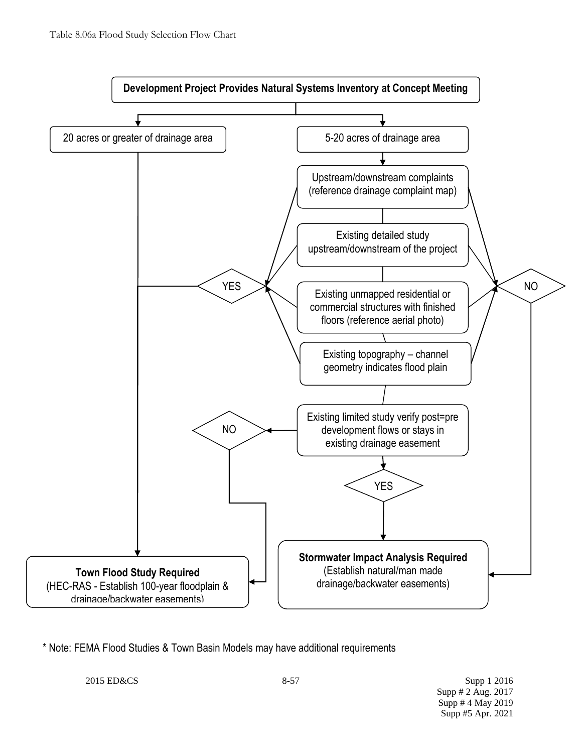

\* Note: FEMA Flood Studies & Town Basin Models may have additional requirements

2015 ED&CS 8-57 Supp 1 2016 Supp # 2 Aug. 2017 Supp # 4 May 2019 Supp #5 Apr. 2021